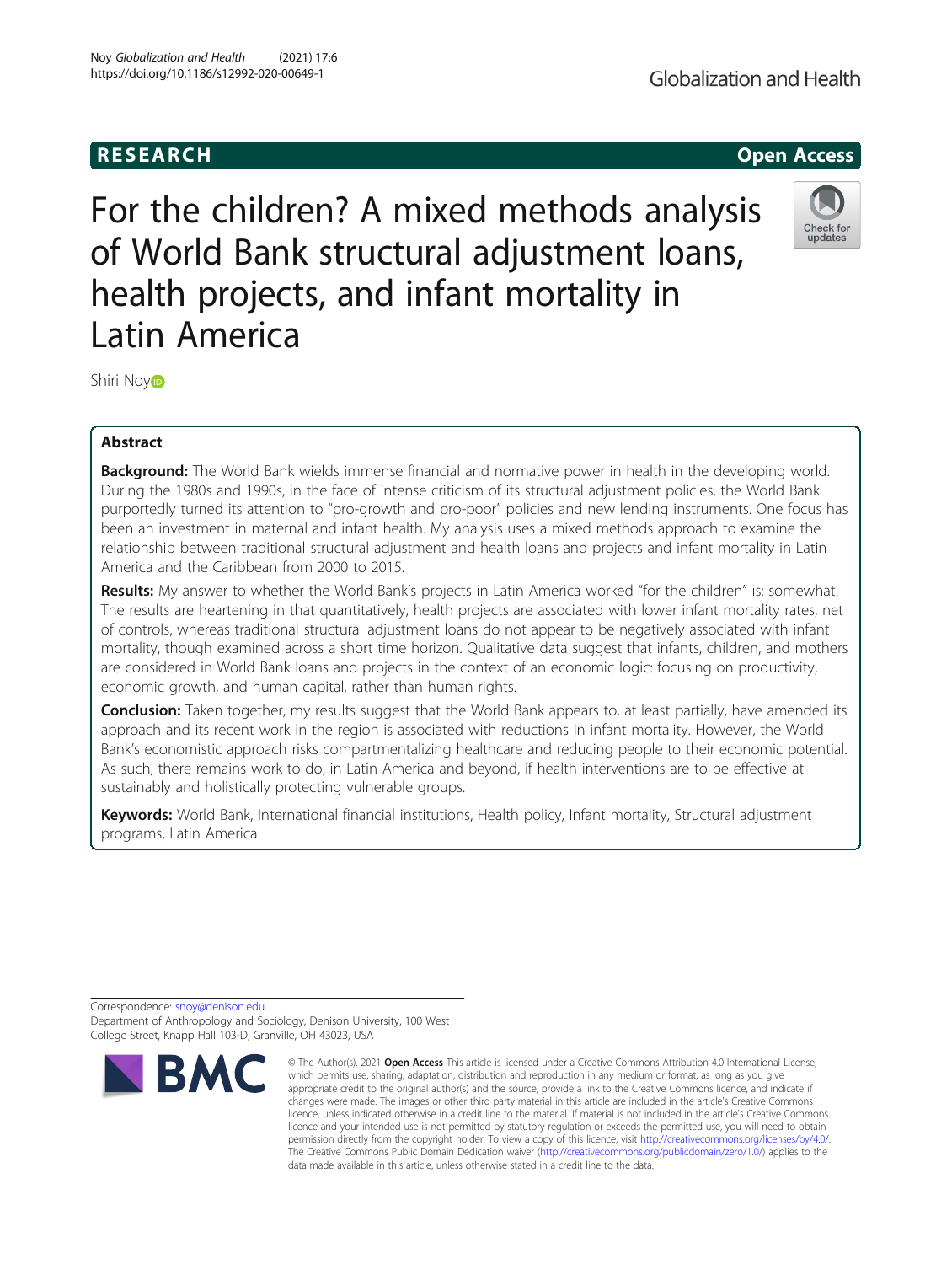# **RESEARCH RESEARCH CONSUMING ACCESS**

For the children? A mixed methods analysis of World Bank structural adjustment loans, health projects, and infant mortality in Latin America

Shiri No[y](http://orcid.org/0000-0002-0755-1652)i**D** 

## Abstract

Background: The World Bank wields immense financial and normative power in health in the developing world. During the 1980s and 1990s, in the face of intense criticism of its structural adjustment policies, the World Bank purportedly turned its attention to "pro-growth and pro-poor" policies and new lending instruments. One focus has been an investment in maternal and infant health. My analysis uses a mixed methods approach to examine the relationship between traditional structural adjustment and health loans and projects and infant mortality in Latin America and the Caribbean from 2000 to 2015.

Results: My answer to whether the World Bank's projects in Latin America worked "for the children" is: somewhat. The results are heartening in that quantitatively, health projects are associated with lower infant mortality rates, net of controls, whereas traditional structural adjustment loans do not appear to be negatively associated with infant mortality, though examined across a short time horizon. Qualitative data suggest that infants, children, and mothers are considered in World Bank loans and projects in the context of an economic logic: focusing on productivity, economic growth, and human capital, rather than human rights.

**Conclusion:** Taken together, my results suggest that the World Bank appears to, at least partially, have amended its approach and its recent work in the region is associated with reductions in infant mortality. However, the World Bank's economistic approach risks compartmentalizing healthcare and reducing people to their economic potential. As such, there remains work to do, in Latin America and beyond, if health interventions are to be effective at sustainably and holistically protecting vulnerable groups.

Keywords: World Bank, International financial institutions, Health policy, Infant mortality, Structural adjustment programs, Latin America

Correspondence: [snoy@denison.edu](mailto:snoy@denison.edu)

Department of Anthropology and Sociology, Denison University, 100 West College Street, Knapp Hall 103-D, Granville, OH 43023, USA





Check for undate

<sup>©</sup> The Author(s), 2021 **Open Access** This article is licensed under a Creative Commons Attribution 4.0 International License, which permits use, sharing, adaptation, distribution and reproduction in any medium or format, as long as you give appropriate credit to the original author(s) and the source, provide a link to the Creative Commons licence, and indicate if

changes were made. The images or other third party material in this article are included in the article's Creative Commons licence, unless indicated otherwise in a credit line to the material. If material is not included in the article's Creative Commons licence and your intended use is not permitted by statutory regulation or exceeds the permitted use, you will need to obtain permission directly from the copyright holder. To view a copy of this licence, visit [http://creativecommons.org/licenses/by/4.0/.](http://creativecommons.org/licenses/by/4.0/) The Creative Commons Public Domain Dedication waiver [\(http://creativecommons.org/publicdomain/zero/1.0/](http://creativecommons.org/publicdomain/zero/1.0/)) applies to the data made available in this article, unless otherwise stated in a credit line to the data.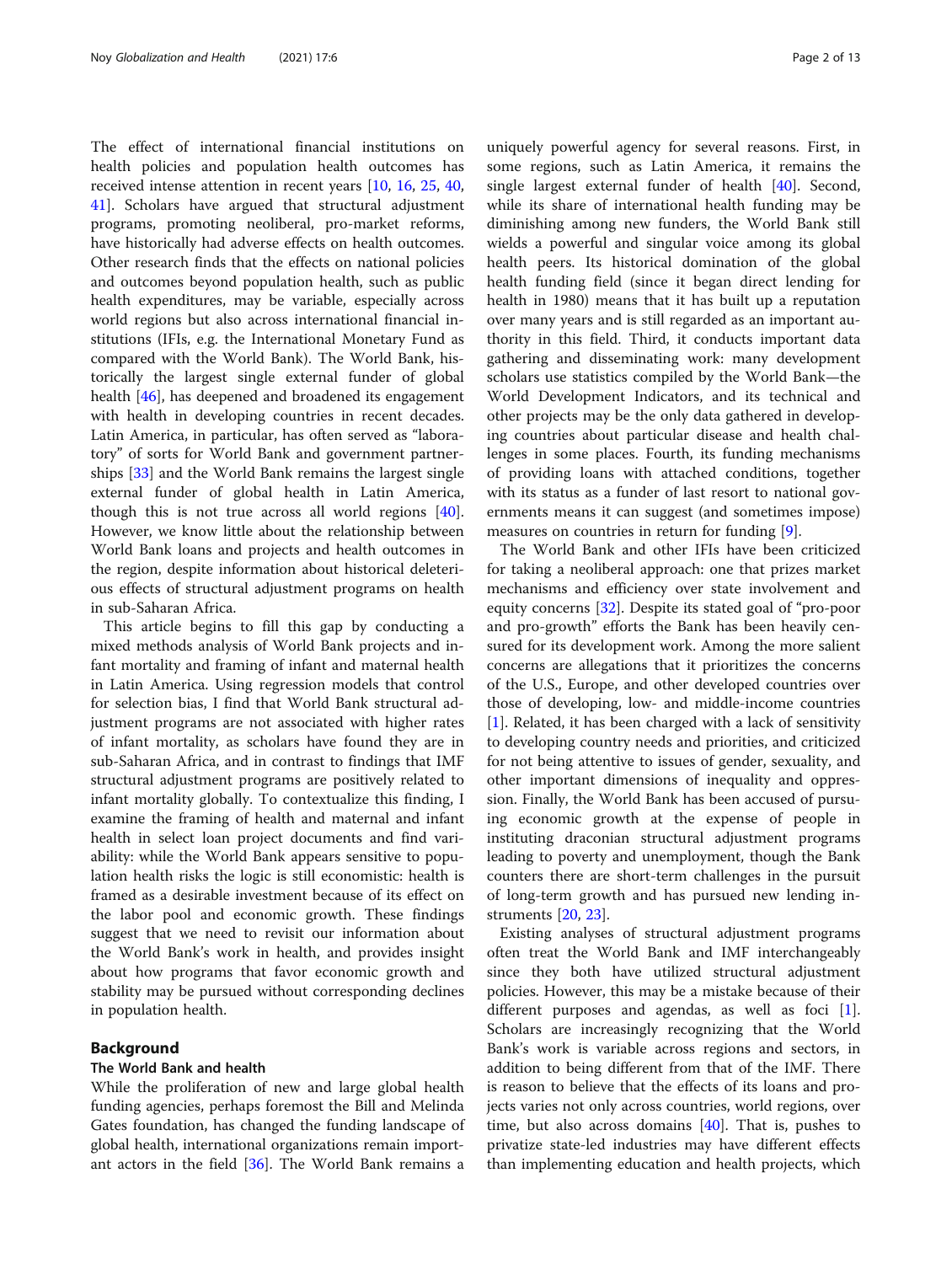The effect of international financial institutions on health policies and population health outcomes has received intense attention in recent years [[10,](#page-11-0) [16,](#page-11-0) [25](#page-11-0), [40](#page-11-0), [41\]](#page-11-0). Scholars have argued that structural adjustment programs, promoting neoliberal, pro-market reforms, have historically had adverse effects on health outcomes. Other research finds that the effects on national policies and outcomes beyond population health, such as public health expenditures, may be variable, especially across world regions but also across international financial institutions (IFIs, e.g. the International Monetary Fund as compared with the World Bank). The World Bank, historically the largest single external funder of global health [\[46\]](#page-11-0), has deepened and broadened its engagement with health in developing countries in recent decades. Latin America, in particular, has often served as "laboratory" of sorts for World Bank and government partnerships [[33](#page-11-0)] and the World Bank remains the largest single external funder of global health in Latin America, though this is not true across all world regions [\[40](#page-11-0)]. However, we know little about the relationship between World Bank loans and projects and health outcomes in the region, despite information about historical deleterious effects of structural adjustment programs on health in sub-Saharan Africa.

This article begins to fill this gap by conducting a mixed methods analysis of World Bank projects and infant mortality and framing of infant and maternal health in Latin America. Using regression models that control for selection bias, I find that World Bank structural adjustment programs are not associated with higher rates of infant mortality, as scholars have found they are in sub-Saharan Africa, and in contrast to findings that IMF structural adjustment programs are positively related to infant mortality globally. To contextualize this finding, I examine the framing of health and maternal and infant health in select loan project documents and find variability: while the World Bank appears sensitive to population health risks the logic is still economistic: health is framed as a desirable investment because of its effect on the labor pool and economic growth. These findings suggest that we need to revisit our information about the World Bank's work in health, and provides insight about how programs that favor economic growth and stability may be pursued without corresponding declines in population health.

## Background

### The World Bank and health

While the proliferation of new and large global health funding agencies, perhaps foremost the Bill and Melinda Gates foundation, has changed the funding landscape of global health, international organizations remain important actors in the field [[36](#page-11-0)]. The World Bank remains a

uniquely powerful agency for several reasons. First, in some regions, such as Latin America, it remains the single largest external funder of health [[40\]](#page-11-0). Second, while its share of international health funding may be diminishing among new funders, the World Bank still wields a powerful and singular voice among its global health peers. Its historical domination of the global health funding field (since it began direct lending for health in 1980) means that it has built up a reputation over many years and is still regarded as an important authority in this field. Third, it conducts important data gathering and disseminating work: many development scholars use statistics compiled by the World Bank—the World Development Indicators, and its technical and other projects may be the only data gathered in developing countries about particular disease and health challenges in some places. Fourth, its funding mechanisms of providing loans with attached conditions, together with its status as a funder of last resort to national governments means it can suggest (and sometimes impose) measures on countries in return for funding [[9](#page-11-0)].

The World Bank and other IFIs have been criticized for taking a neoliberal approach: one that prizes market mechanisms and efficiency over state involvement and equity concerns [[32\]](#page-11-0). Despite its stated goal of "pro-poor and pro-growth" efforts the Bank has been heavily censured for its development work. Among the more salient concerns are allegations that it prioritizes the concerns of the U.S., Europe, and other developed countries over those of developing, low- and middle-income countries [[1\]](#page-10-0). Related, it has been charged with a lack of sensitivity to developing country needs and priorities, and criticized for not being attentive to issues of gender, sexuality, and other important dimensions of inequality and oppression. Finally, the World Bank has been accused of pursuing economic growth at the expense of people in instituting draconian structural adjustment programs leading to poverty and unemployment, though the Bank counters there are short-term challenges in the pursuit of long-term growth and has pursued new lending instruments [[20,](#page-11-0) [23](#page-11-0)].

Existing analyses of structural adjustment programs often treat the World Bank and IMF interchangeably since they both have utilized structural adjustment policies. However, this may be a mistake because of their different purposes and agendas, as well as foci [\[1](#page-10-0)]. Scholars are increasingly recognizing that the World Bank's work is variable across regions and sectors, in addition to being different from that of the IMF. There is reason to believe that the effects of its loans and projects varies not only across countries, world regions, over time, but also across domains [[40\]](#page-11-0). That is, pushes to privatize state-led industries may have different effects than implementing education and health projects, which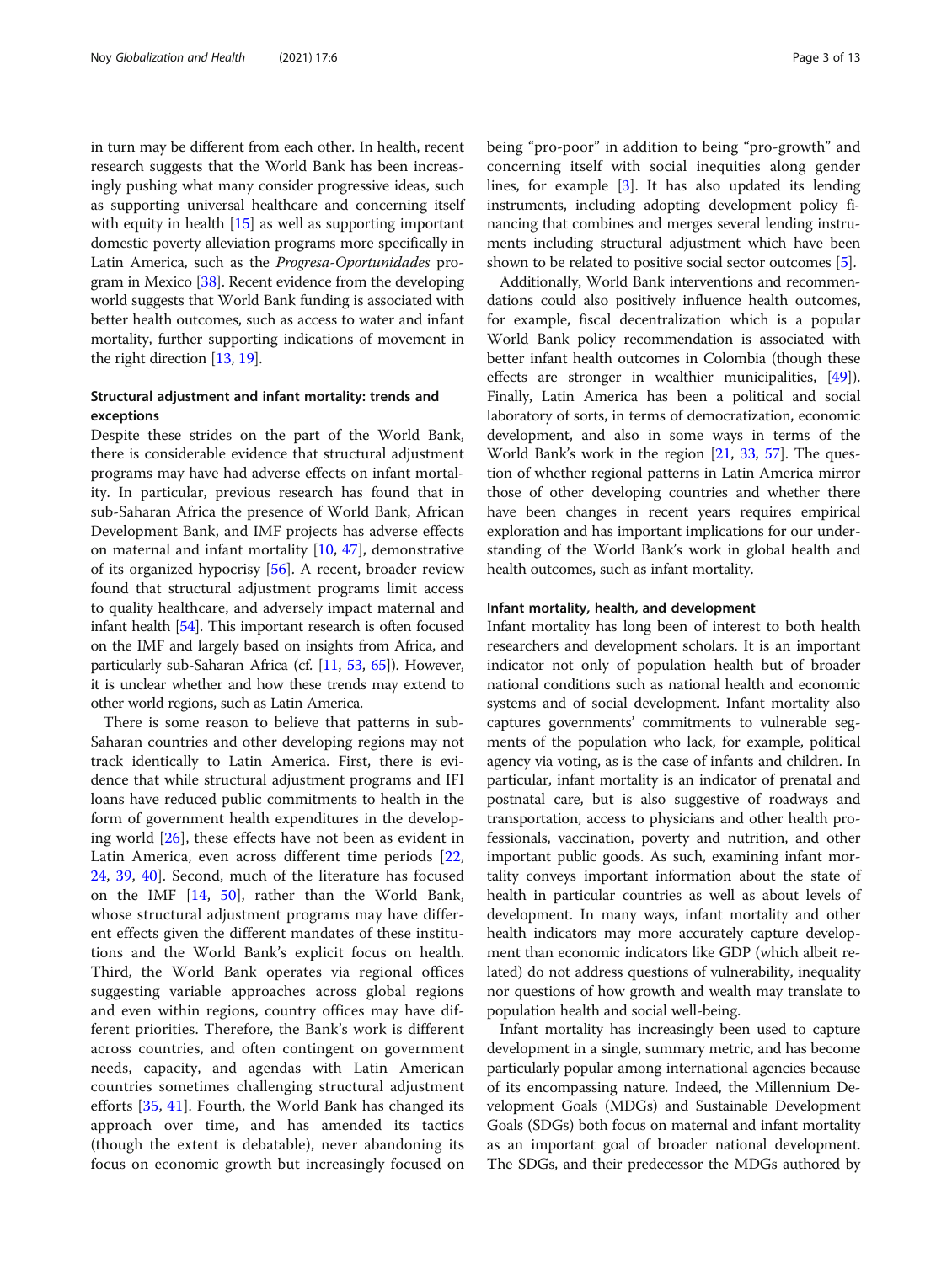in turn may be different from each other. In health, recent research suggests that the World Bank has been increasingly pushing what many consider progressive ideas, such as supporting universal healthcare and concerning itself with equity in health [[15](#page-11-0)] as well as supporting important domestic poverty alleviation programs more specifically in Latin America, such as the Progresa-Oportunidades program in Mexico [[38](#page-11-0)]. Recent evidence from the developing world suggests that World Bank funding is associated with better health outcomes, such as access to water and infant mortality, further supporting indications of movement in the right direction [\[13,](#page-11-0) [19\]](#page-11-0).

## Structural adjustment and infant mortality: trends and exceptions

Despite these strides on the part of the World Bank, there is considerable evidence that structural adjustment programs may have had adverse effects on infant mortality. In particular, previous research has found that in sub-Saharan Africa the presence of World Bank, African Development Bank, and IMF projects has adverse effects on maternal and infant mortality [[10,](#page-11-0) [47\]](#page-11-0), demonstrative of its organized hypocrisy [\[56](#page-12-0)]. A recent, broader review found that structural adjustment programs limit access to quality healthcare, and adversely impact maternal and infant health [[54](#page-12-0)]. This important research is often focused on the IMF and largely based on insights from Africa, and particularly sub-Saharan Africa (cf. [\[11,](#page-11-0) [53,](#page-12-0) [65\]](#page-12-0)). However, it is unclear whether and how these trends may extend to other world regions, such as Latin America.

There is some reason to believe that patterns in sub-Saharan countries and other developing regions may not track identically to Latin America. First, there is evidence that while structural adjustment programs and IFI loans have reduced public commitments to health in the form of government health expenditures in the developing world [[26\]](#page-11-0), these effects have not been as evident in Latin America, even across different time periods [\[22](#page-11-0), [24,](#page-11-0) [39,](#page-11-0) [40](#page-11-0)]. Second, much of the literature has focused on the IMF [[14,](#page-11-0) [50\]](#page-12-0), rather than the World Bank, whose structural adjustment programs may have different effects given the different mandates of these institutions and the World Bank's explicit focus on health. Third, the World Bank operates via regional offices suggesting variable approaches across global regions and even within regions, country offices may have different priorities. Therefore, the Bank's work is different across countries, and often contingent on government needs, capacity, and agendas with Latin American countries sometimes challenging structural adjustment efforts [\[35](#page-11-0), [41\]](#page-11-0). Fourth, the World Bank has changed its approach over time, and has amended its tactics (though the extent is debatable), never abandoning its focus on economic growth but increasingly focused on being "pro-poor" in addition to being "pro-growth" and concerning itself with social inequities along gender lines, for example [\[3](#page-11-0)]. It has also updated its lending instruments, including adopting development policy financing that combines and merges several lending instruments including structural adjustment which have been shown to be related to positive social sector outcomes [\[5\]](#page-11-0).

Additionally, World Bank interventions and recommendations could also positively influence health outcomes, for example, fiscal decentralization which is a popular World Bank policy recommendation is associated with better infant health outcomes in Colombia (though these effects are stronger in wealthier municipalities, [[49](#page-12-0)]). Finally, Latin America has been a political and social laboratory of sorts, in terms of democratization, economic development, and also in some ways in terms of the World Bank's work in the region [[21](#page-11-0), [33,](#page-11-0) [57](#page-12-0)]. The question of whether regional patterns in Latin America mirror those of other developing countries and whether there have been changes in recent years requires empirical exploration and has important implications for our understanding of the World Bank's work in global health and health outcomes, such as infant mortality.

### Infant mortality, health, and development

Infant mortality has long been of interest to both health researchers and development scholars. It is an important indicator not only of population health but of broader national conditions such as national health and economic systems and of social development. Infant mortality also captures governments' commitments to vulnerable segments of the population who lack, for example, political agency via voting, as is the case of infants and children. In particular, infant mortality is an indicator of prenatal and postnatal care, but is also suggestive of roadways and transportation, access to physicians and other health professionals, vaccination, poverty and nutrition, and other important public goods. As such, examining infant mortality conveys important information about the state of health in particular countries as well as about levels of development. In many ways, infant mortality and other health indicators may more accurately capture development than economic indicators like GDP (which albeit related) do not address questions of vulnerability, inequality nor questions of how growth and wealth may translate to population health and social well-being.

Infant mortality has increasingly been used to capture development in a single, summary metric, and has become particularly popular among international agencies because of its encompassing nature. Indeed, the Millennium Development Goals (MDGs) and Sustainable Development Goals (SDGs) both focus on maternal and infant mortality as an important goal of broader national development. The SDGs, and their predecessor the MDGs authored by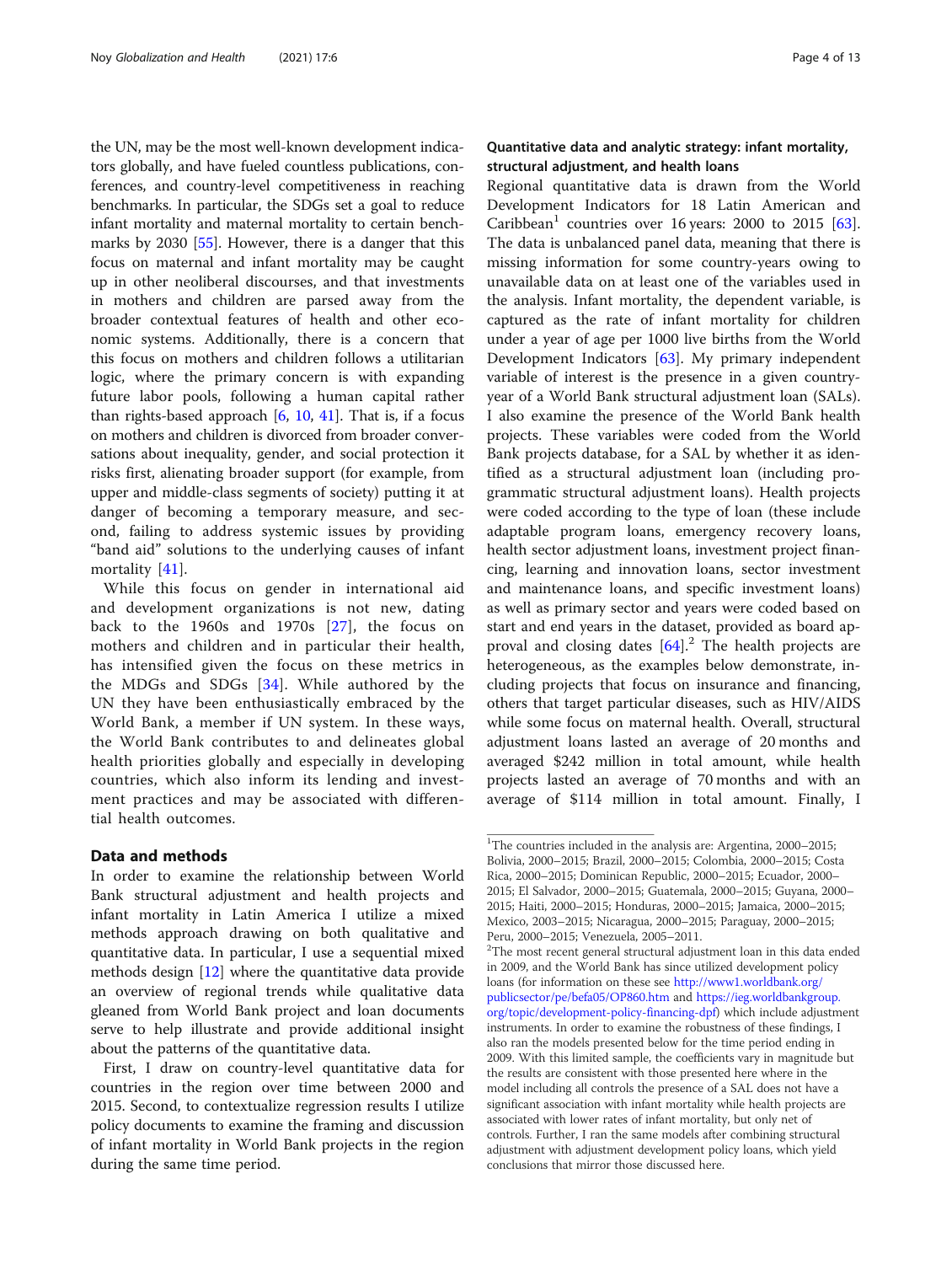the UN, may be the most well-known development indicators globally, and have fueled countless publications, conferences, and country-level competitiveness in reaching benchmarks. In particular, the SDGs set a goal to reduce infant mortality and maternal mortality to certain benchmarks by 2030 [[55](#page-12-0)]. However, there is a danger that this focus on maternal and infant mortality may be caught up in other neoliberal discourses, and that investments in mothers and children are parsed away from the broader contextual features of health and other economic systems. Additionally, there is a concern that this focus on mothers and children follows a utilitarian logic, where the primary concern is with expanding future labor pools, following a human capital rather than rights-based approach  $[6, 10, 41]$  $[6, 10, 41]$  $[6, 10, 41]$  $[6, 10, 41]$  $[6, 10, 41]$  $[6, 10, 41]$ . That is, if a focus on mothers and children is divorced from broader conversations about inequality, gender, and social protection it risks first, alienating broader support (for example, from upper and middle-class segments of society) putting it at danger of becoming a temporary measure, and second, failing to address systemic issues by providing "band aid" solutions to the underlying causes of infant mortality [[41\]](#page-11-0).

While this focus on gender in international aid and development organizations is not new, dating back to the 1960s and 1970s [\[27\]](#page-11-0), the focus on mothers and children and in particular their health, has intensified given the focus on these metrics in the MDGs and SDGs [\[34\]](#page-11-0). While authored by the UN they have been enthusiastically embraced by the World Bank, a member if UN system. In these ways, the World Bank contributes to and delineates global health priorities globally and especially in developing countries, which also inform its lending and investment practices and may be associated with differential health outcomes.

## Data and methods

In order to examine the relationship between World Bank structural adjustment and health projects and infant mortality in Latin America I utilize a mixed methods approach drawing on both qualitative and quantitative data. In particular, I use a sequential mixed methods design [[12](#page-11-0)] where the quantitative data provide an overview of regional trends while qualitative data gleaned from World Bank project and loan documents serve to help illustrate and provide additional insight about the patterns of the quantitative data.

First, I draw on country-level quantitative data for countries in the region over time between 2000 and 2015. Second, to contextualize regression results I utilize policy documents to examine the framing and discussion of infant mortality in World Bank projects in the region during the same time period.

## Quantitative data and analytic strategy: infant mortality, structural adjustment, and health loans

Regional quantitative data is drawn from the World Development Indicators for 18 Latin American and Caribbean<sup>1</sup> countries over 16 years: 2000 to 2015  $[63]$  $[63]$ . The data is unbalanced panel data, meaning that there is missing information for some country-years owing to unavailable data on at least one of the variables used in the analysis. Infant mortality, the dependent variable, is captured as the rate of infant mortality for children under a year of age per 1000 live births from the World Development Indicators [[63\]](#page-12-0). My primary independent variable of interest is the presence in a given countryyear of a World Bank structural adjustment loan (SALs). I also examine the presence of the World Bank health projects. These variables were coded from the World Bank projects database, for a SAL by whether it as identified as a structural adjustment loan (including programmatic structural adjustment loans). Health projects were coded according to the type of loan (these include adaptable program loans, emergency recovery loans, health sector adjustment loans, investment project financing, learning and innovation loans, sector investment and maintenance loans, and specific investment loans) as well as primary sector and years were coded based on start and end years in the dataset, provided as board approval and closing dates  $[64]$  $[64]$ .<sup>2</sup> The health projects are heterogeneous, as the examples below demonstrate, including projects that focus on insurance and financing, others that target particular diseases, such as HIV/AIDS while some focus on maternal health. Overall, structural adjustment loans lasted an average of 20 months and averaged \$242 million in total amount, while health projects lasted an average of 70 months and with an average of \$114 million in total amount. Finally, I

<sup>&</sup>lt;sup>1</sup>The countries included in the analysis are: Argentina, 2000-2015; Bolivia, 2000–2015; Brazil, 2000–2015; Colombia, 2000–2015; Costa Rica, 2000–2015; Dominican Republic, 2000–2015; Ecuador, 2000– 2015; El Salvador, 2000–2015; Guatemala, 2000–2015; Guyana, 2000– 2015; Haiti, 2000–2015; Honduras, 2000–2015; Jamaica, 2000–2015; Mexico, 2003–2015; Nicaragua, 2000–2015; Paraguay, 2000–2015; Peru, 2000–2015; Venezuela, 2005–2011. <sup>2</sup>

 $2$ The most recent general structural adjustment loan in this data ended in 2009, and the World Bank has since utilized development policy loans (for information on these see [http://www1.worldbank.org/](http://www1.worldbank.org/publicsector/pe/befa05/OP860.htm) [publicsector/pe/befa05/OP860.htm](http://www1.worldbank.org/publicsector/pe/befa05/OP860.htm) and [https://ieg.worldbankgroup.](https://ieg.worldbankgroup.org/topic/development-policy-financing-dpf) [org/topic/development-policy-financing-dpf](https://ieg.worldbankgroup.org/topic/development-policy-financing-dpf)) which include adjustment instruments. In order to examine the robustness of these findings, I also ran the models presented below for the time period ending in 2009. With this limited sample, the coefficients vary in magnitude but the results are consistent with those presented here where in the model including all controls the presence of a SAL does not have a significant association with infant mortality while health projects are associated with lower rates of infant mortality, but only net of controls. Further, I ran the same models after combining structural adjustment with adjustment development policy loans, which yield conclusions that mirror those discussed here.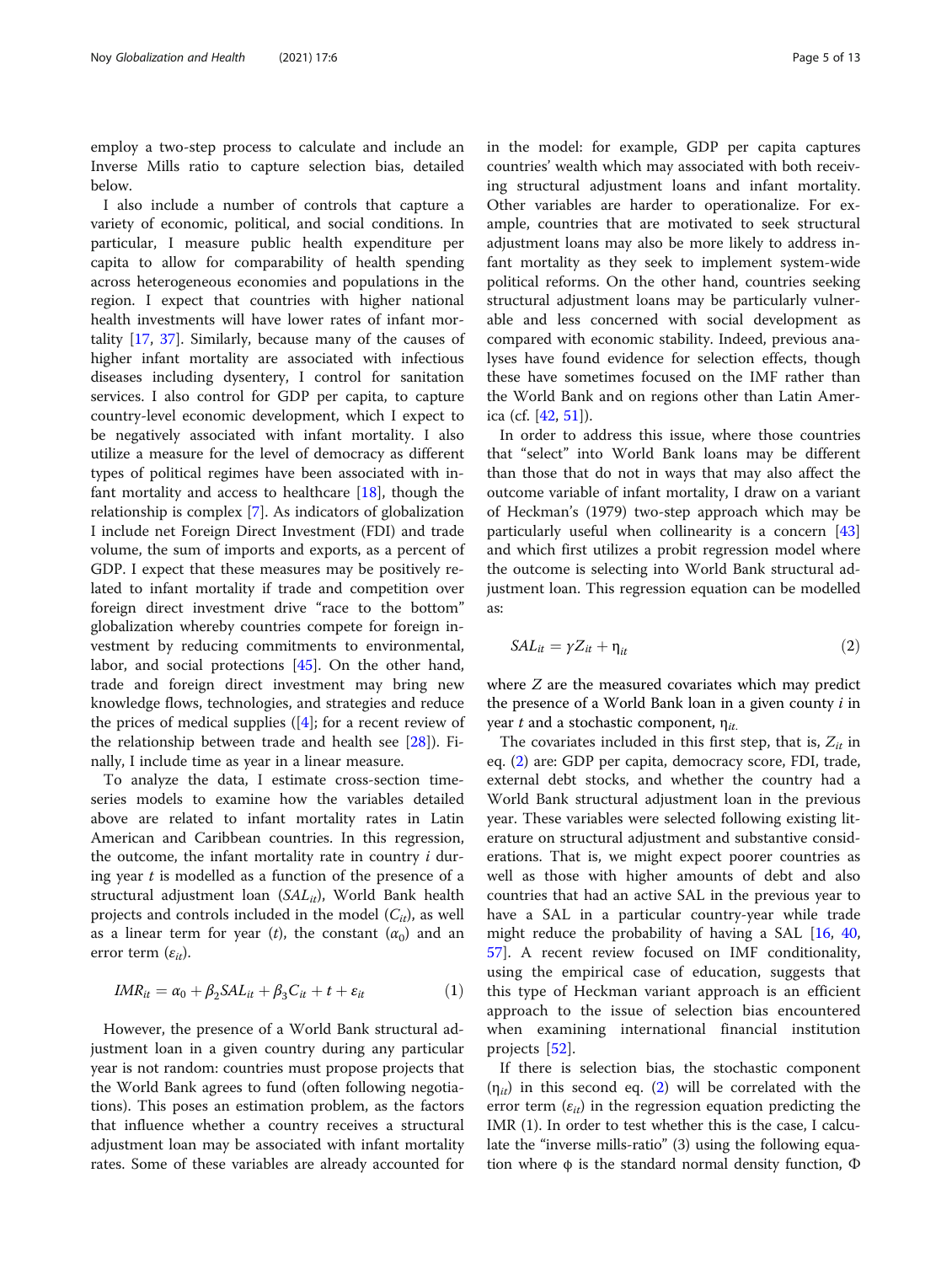<span id="page-4-0"></span>employ a two-step process to calculate and include an Inverse Mills ratio to capture selection bias, detailed below.

I also include a number of controls that capture a variety of economic, political, and social conditions. In particular, I measure public health expenditure per capita to allow for comparability of health spending across heterogeneous economies and populations in the region. I expect that countries with higher national health investments will have lower rates of infant mortality [\[17,](#page-11-0) [37\]](#page-11-0). Similarly, because many of the causes of higher infant mortality are associated with infectious diseases including dysentery, I control for sanitation services. I also control for GDP per capita, to capture country-level economic development, which I expect to be negatively associated with infant mortality. I also utilize a measure for the level of democracy as different types of political regimes have been associated with infant mortality and access to healthcare  $[18]$ , though the relationship is complex [[7\]](#page-11-0). As indicators of globalization I include net Foreign Direct Investment (FDI) and trade volume, the sum of imports and exports, as a percent of GDP. I expect that these measures may be positively related to infant mortality if trade and competition over foreign direct investment drive "race to the bottom" globalization whereby countries compete for foreign investment by reducing commitments to environmental, labor, and social protections [[45\]](#page-11-0). On the other hand, trade and foreign direct investment may bring new knowledge flows, technologies, and strategies and reduce the prices of medical supplies  $([4]$  $([4]$  $([4]$ ; for a recent review of the relationship between trade and health see [[28\]](#page-11-0)). Finally, I include time as year in a linear measure.

To analyze the data, I estimate cross-section timeseries models to examine how the variables detailed above are related to infant mortality rates in Latin American and Caribbean countries. In this regression, the outcome, the infant mortality rate in country  $i$  during year  $t$  is modelled as a function of the presence of a structural adjustment loan  $(SAL_{it})$ , World Bank health projects and controls included in the model  $(C_{it})$ , as well as a linear term for year (t), the constant  $(\alpha_0)$  and an error term  $(\varepsilon_{it})$ .

$$
IMR_{it} = \alpha_0 + \beta_2 SAL_{it} + \beta_3 C_{it} + t + \varepsilon_{it}
$$
 (1)

However, the presence of a World Bank structural adjustment loan in a given country during any particular year is not random: countries must propose projects that the World Bank agrees to fund (often following negotiations). This poses an estimation problem, as the factors that influence whether a country receives a structural adjustment loan may be associated with infant mortality rates. Some of these variables are already accounted for in the model: for example, GDP per capita captures countries' wealth which may associated with both receiving structural adjustment loans and infant mortality. Other variables are harder to operationalize. For example, countries that are motivated to seek structural adjustment loans may also be more likely to address infant mortality as they seek to implement system-wide political reforms. On the other hand, countries seeking structural adjustment loans may be particularly vulnerable and less concerned with social development as compared with economic stability. Indeed, previous analyses have found evidence for selection effects, though these have sometimes focused on the IMF rather than the World Bank and on regions other than Latin America (cf. [[42,](#page-11-0) [51](#page-12-0)]).

In order to address this issue, where those countries that "select" into World Bank loans may be different than those that do not in ways that may also affect the outcome variable of infant mortality, I draw on a variant of Heckman's (1979) two-step approach which may be particularly useful when collinearity is a concern [[43](#page-11-0)] and which first utilizes a probit regression model where the outcome is selecting into World Bank structural adjustment loan. This regression equation can be modelled as:

$$
SAL_{it} = \gamma Z_{it} + \eta_{it} \tag{2}
$$

where Z are the measured covariates which may predict the presence of a World Bank loan in a given county  $i$  in year t and a stochastic component,  $\eta_{it}$ .

The covariates included in this first step, that is,  $Z_{it}$  in eq. (2) are: GDP per capita, democracy score, FDI, trade, external debt stocks, and whether the country had a World Bank structural adjustment loan in the previous year. These variables were selected following existing literature on structural adjustment and substantive considerations. That is, we might expect poorer countries as well as those with higher amounts of debt and also countries that had an active SAL in the previous year to have a SAL in a particular country-year while trade might reduce the probability of having a SAL [[16,](#page-11-0) [40](#page-11-0), [57\]](#page-12-0). A recent review focused on IMF conditionality, using the empirical case of education, suggests that this type of Heckman variant approach is an efficient approach to the issue of selection bias encountered when examining international financial institution projects [[52\]](#page-12-0).

If there is selection bias, the stochastic component  $(\eta_{it})$  in this second eq. (2) will be correlated with the error term  $(\varepsilon_{it})$  in the regression equation predicting the IMR (1). In order to test whether this is the case, I calculate the "inverse mills-ratio" (3) using the following equation where φ is the standard normal density function, Φ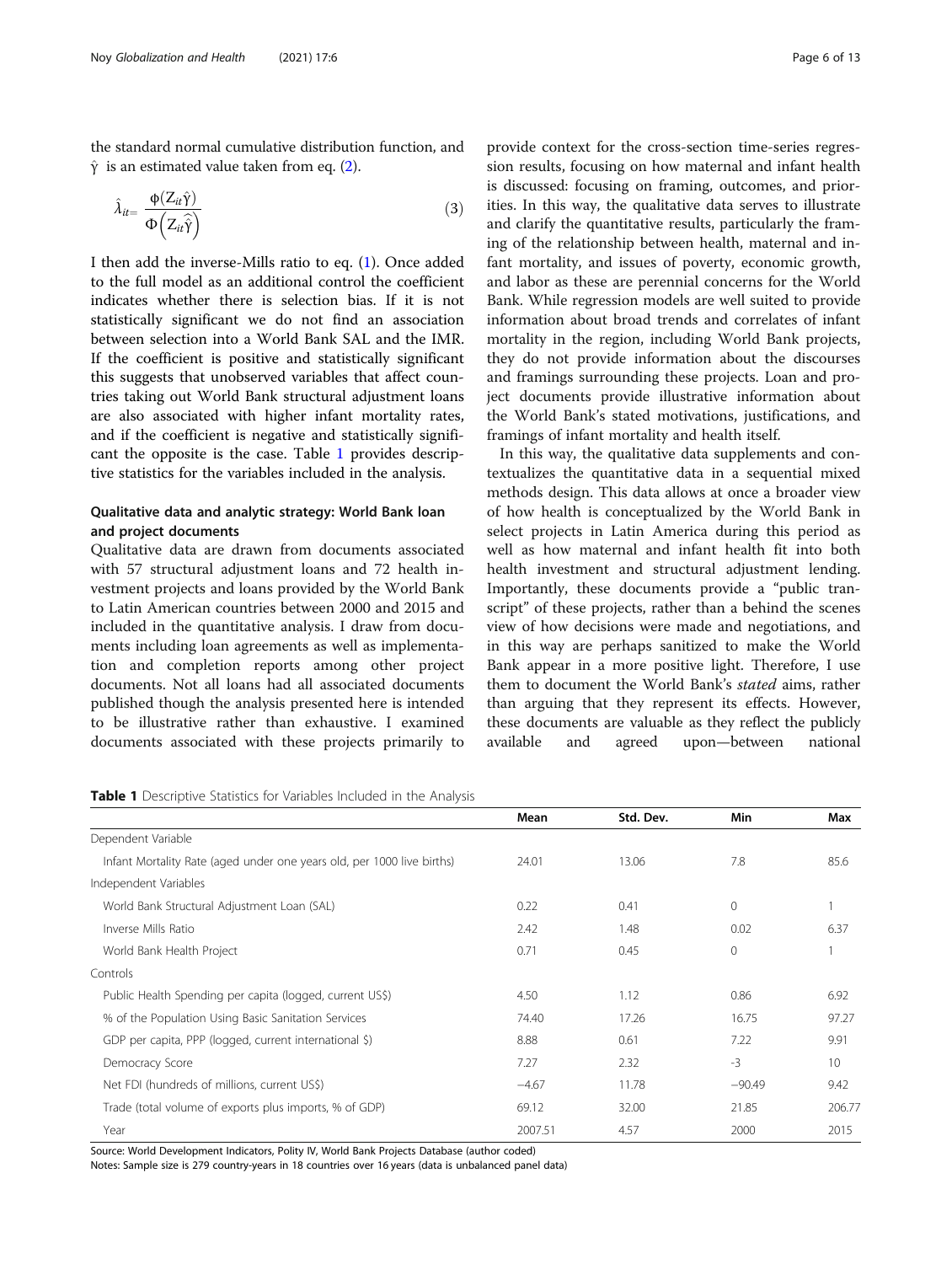the standard normal cumulative distribution function, and .<br>. 11<br>!d<br>)

$$
\hat{Y}
$$
 is an estimated value taken from eq. (2).  
\n
$$
\hat{\lambda}_{it} = \frac{\Phi(Z_{it}\hat{Y})}{\Phi(Z_{it}\hat{Y})}
$$
\n(3)

I then add the inverse-Mills ratio to eq. [\(1](#page-4-0)). Once added to the full model as an additional control the coefficient indicates whether there is selection bias. If it is not statistically significant we do not find an association between selection into a World Bank SAL and the IMR. If the coefficient is positive and statistically significant this suggests that unobserved variables that affect countries taking out World Bank structural adjustment loans are also associated with higher infant mortality rates, and if the coefficient is negative and statistically significant the opposite is the case. Table 1 provides descriptive statistics for the variables included in the analysis.

## Qualitative data and analytic strategy: World Bank loan and project documents

Qualitative data are drawn from documents associated with 57 structural adjustment loans and 72 health investment projects and loans provided by the World Bank to Latin American countries between 2000 and 2015 and included in the quantitative analysis. I draw from documents including loan agreements as well as implementation and completion reports among other project documents. Not all loans had all associated documents published though the analysis presented here is intended to be illustrative rather than exhaustive. I examined documents associated with these projects primarily to

provide context for the cross-section time-series regression results, focusing on how maternal and infant health is discussed: focusing on framing, outcomes, and priorities. In this way, the qualitative data serves to illustrate and clarify the quantitative results, particularly the framing of the relationship between health, maternal and infant mortality, and issues of poverty, economic growth, and labor as these are perennial concerns for the World Bank. While regression models are well suited to provide information about broad trends and correlates of infant mortality in the region, including World Bank projects, they do not provide information about the discourses and framings surrounding these projects. Loan and project documents provide illustrative information about the World Bank's stated motivations, justifications, and framings of infant mortality and health itself.

In this way, the qualitative data supplements and contextualizes the quantitative data in a sequential mixed methods design. This data allows at once a broader view of how health is conceptualized by the World Bank in select projects in Latin America during this period as well as how maternal and infant health fit into both health investment and structural adjustment lending. Importantly, these documents provide a "public transcript" of these projects, rather than a behind the scenes view of how decisions were made and negotiations, and in this way are perhaps sanitized to make the World Bank appear in a more positive light. Therefore, I use them to document the World Bank's stated aims, rather than arguing that they represent its effects. However, these documents are valuable as they reflect the publicly available and agreed upon—between national

Table 1 Descriptive Statistics for Variables Included in the Analysis

|                                                                        | Mean    | Std. Dev. | <b>Min</b>  | Max    |
|------------------------------------------------------------------------|---------|-----------|-------------|--------|
| Dependent Variable                                                     |         |           |             |        |
| Infant Mortality Rate (aged under one years old, per 1000 live births) | 24.01   | 13.06     | 7.8         | 85.6   |
| Independent Variables                                                  |         |           |             |        |
| World Bank Structural Adjustment Loan (SAL)                            | 0.22    | 0.41      | 0           |        |
| Inverse Mills Ratio                                                    | 2.42    | 1.48      | 0.02        | 6.37   |
| World Bank Health Project                                              | 0.71    | 0.45      | $\mathbf 0$ |        |
| Controls                                                               |         |           |             |        |
| Public Health Spending per capita (logged, current US\$)               | 4.50    | 1.12      | 0.86        | 6.92   |
| % of the Population Using Basic Sanitation Services                    | 74.40   | 17.26     | 16.75       | 97.27  |
| GDP per capita, PPP (logged, current international \$)                 | 8.88    | 0.61      | 7.22        | 9.91   |
| Democracy Score                                                        | 7.27    | 2.32      | $-3$        | 10     |
| Net FDI (hundreds of millions, current US\$)                           | $-4.67$ | 11.78     | $-90.49$    | 9.42   |
| Trade (total volume of exports plus imports, % of GDP)                 | 69.12   | 32.00     | 21.85       | 206.77 |
| Year                                                                   | 2007.51 | 4.57      | 2000        | 2015   |

Source: World Development Indicators, Polity IV, World Bank Projects Database (author coded)

Notes: Sample size is 279 country-years in 18 countries over 16 years (data is unbalanced panel data)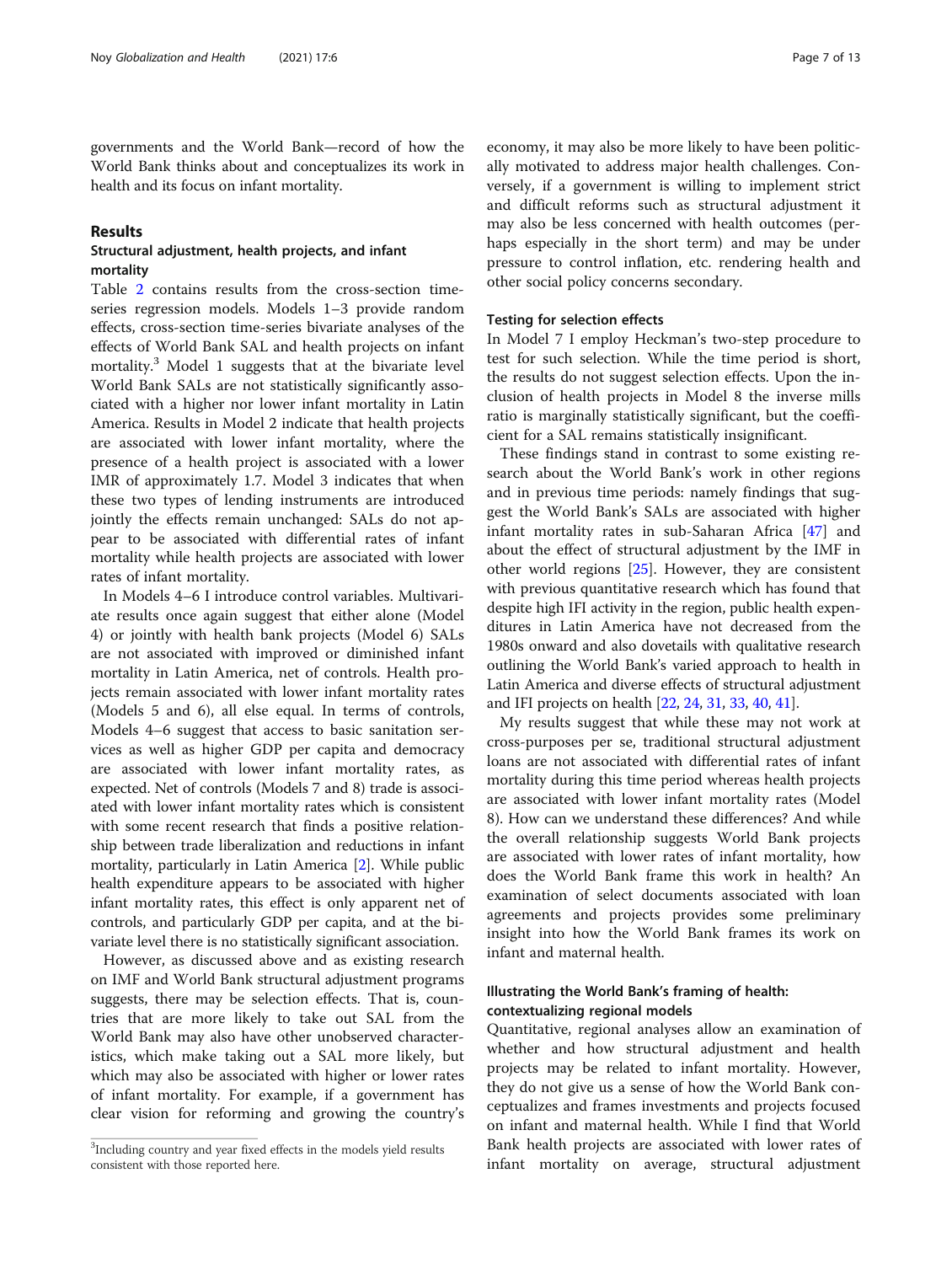governments and the World Bank—record of how the World Bank thinks about and conceptualizes its work in health and its focus on infant mortality.

### Results

## Structural adjustment, health projects, and infant mortality

Table [2](#page-7-0) contains results from the cross-section timeseries regression models. Models 1–3 provide random effects, cross-section time-series bivariate analyses of the effects of World Bank SAL and health projects on infant mortality.<sup>3</sup> Model 1 suggests that at the bivariate level World Bank SALs are not statistically significantly associated with a higher nor lower infant mortality in Latin America. Results in Model 2 indicate that health projects are associated with lower infant mortality, where the presence of a health project is associated with a lower IMR of approximately 1.7. Model 3 indicates that when these two types of lending instruments are introduced jointly the effects remain unchanged: SALs do not appear to be associated with differential rates of infant mortality while health projects are associated with lower rates of infant mortality.

In Models 4–6 I introduce control variables. Multivariate results once again suggest that either alone (Model 4) or jointly with health bank projects (Model 6) SALs are not associated with improved or diminished infant mortality in Latin America, net of controls. Health projects remain associated with lower infant mortality rates (Models 5 and 6), all else equal. In terms of controls, Models 4–6 suggest that access to basic sanitation services as well as higher GDP per capita and democracy are associated with lower infant mortality rates, as expected. Net of controls (Models 7 and 8) trade is associated with lower infant mortality rates which is consistent with some recent research that finds a positive relationship between trade liberalization and reductions in infant mortality, particularly in Latin America [\[2](#page-10-0)]. While public health expenditure appears to be associated with higher infant mortality rates, this effect is only apparent net of controls, and particularly GDP per capita, and at the bivariate level there is no statistically significant association.

However, as discussed above and as existing research on IMF and World Bank structural adjustment programs suggests, there may be selection effects. That is, countries that are more likely to take out SAL from the World Bank may also have other unobserved characteristics, which make taking out a SAL more likely, but which may also be associated with higher or lower rates of infant mortality. For example, if a government has clear vision for reforming and growing the country's

economy, it may also be more likely to have been politically motivated to address major health challenges. Conversely, if a government is willing to implement strict and difficult reforms such as structural adjustment it may also be less concerned with health outcomes (perhaps especially in the short term) and may be under pressure to control inflation, etc. rendering health and other social policy concerns secondary.

## Testing for selection effects

In Model 7 I employ Heckman's two-step procedure to test for such selection. While the time period is short, the results do not suggest selection effects. Upon the inclusion of health projects in Model 8 the inverse mills ratio is marginally statistically significant, but the coefficient for a SAL remains statistically insignificant.

These findings stand in contrast to some existing research about the World Bank's work in other regions and in previous time periods: namely findings that suggest the World Bank's SALs are associated with higher infant mortality rates in sub-Saharan Africa [\[47\]](#page-11-0) and about the effect of structural adjustment by the IMF in other world regions [[25\]](#page-11-0). However, they are consistent with previous quantitative research which has found that despite high IFI activity in the region, public health expenditures in Latin America have not decreased from the 1980s onward and also dovetails with qualitative research outlining the World Bank's varied approach to health in Latin America and diverse effects of structural adjustment and IFI projects on health [[22](#page-11-0), [24,](#page-11-0) [31,](#page-11-0) [33](#page-11-0), [40,](#page-11-0) [41\]](#page-11-0).

My results suggest that while these may not work at cross-purposes per se, traditional structural adjustment loans are not associated with differential rates of infant mortality during this time period whereas health projects are associated with lower infant mortality rates (Model 8). How can we understand these differences? And while the overall relationship suggests World Bank projects are associated with lower rates of infant mortality, how does the World Bank frame this work in health? An examination of select documents associated with loan agreements and projects provides some preliminary insight into how the World Bank frames its work on infant and maternal health.

## Illustrating the World Bank's framing of health: contextualizing regional models

Quantitative, regional analyses allow an examination of whether and how structural adjustment and health projects may be related to infant mortality. However, they do not give us a sense of how the World Bank conceptualizes and frames investments and projects focused on infant and maternal health. While I find that World Bank health projects are associated with lower rates of infant mortality on average, structural adjustment

<sup>&</sup>lt;sup>3</sup>Including country and year fixed effects in the models yield results consistent with those reported here.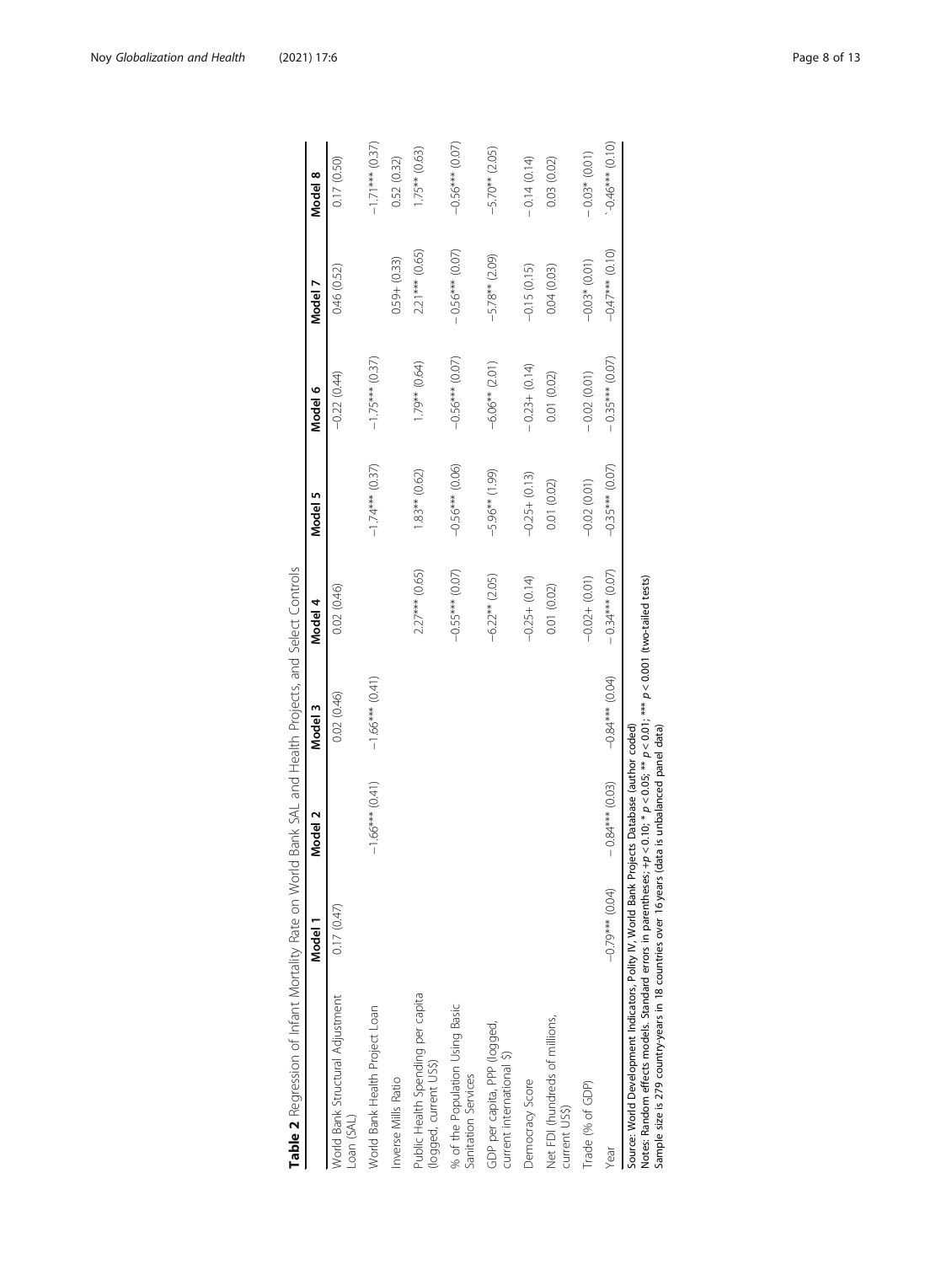<span id="page-7-0"></span>

| Table 2 Regression of Infant Mortality Rate on World I                                                                                                                                                                                                             | Model 1           | Vlodel 2          | Bank SAL and Health Projects, and Select Controls<br>Model 3                    | Model 4           | Model 5           | Model 6           | Model 7           | Model 8           |
|--------------------------------------------------------------------------------------------------------------------------------------------------------------------------------------------------------------------------------------------------------------------|-------------------|-------------------|---------------------------------------------------------------------------------|-------------------|-------------------|-------------------|-------------------|-------------------|
| World Bank Structural Adjustment<br>Loan (SAL)                                                                                                                                                                                                                     | 0.17(0.47)        |                   | 0.02 (0.46)                                                                     | 0.02 (0.46)       |                   | $-0.22(0.44)$     | 0.46 (0.52)       | 0.17(0.50)        |
| World Bank Health Project Loan                                                                                                                                                                                                                                     |                   | $-1.66***$ (0.41) | $-1.66***$ (0.41)                                                               |                   | $-1.74***$ (0.37) | $-1.75***$ (0.37) |                   | $-1.71***$ (0.37) |
| Inverse Mills Ratio                                                                                                                                                                                                                                                |                   |                   |                                                                                 |                   |                   |                   | $0.59 + (0.33)$   | 0.52 (0.32)       |
| Public Health Spending per capita<br>(logged, current US\$)                                                                                                                                                                                                        |                   |                   |                                                                                 | $2.27***$ (0.65)  | $1.83**$ $(0.62)$ | $(1.79** (0.64))$ | $2.21***$ (0.65)  | $1.75**$ (0.63)   |
| % of the Population Using Basic<br>Sanitation Services                                                                                                                                                                                                             |                   |                   |                                                                                 | $-0.55***$ (0.07) | $-0.56***$ (0.06) | $-0.56***$ (0.07) | $-0.56***(0.07)$  | $-0.56***$ (0.07) |
| GDP per capita, PPP (logged,<br>current international \$)                                                                                                                                                                                                          |                   |                   |                                                                                 | $-6.22**$ (2.05)  | $-5.96**$ (1.99)  | $-6.06**$ (2.01)  | $-5.78**$ (2.09)  | $-5.70**$ (2.05)  |
| Democracy Score                                                                                                                                                                                                                                                    |                   |                   |                                                                                 | $-0.25 + (0.14)$  | $-0.25 + (0.13)$  | $-0.23 + (0.14)$  | $-0.15(0.15)$     | $-0.14(0.14)$     |
| Net FDI (hundreds of millions,<br>current US\$)                                                                                                                                                                                                                    |                   |                   |                                                                                 | 0.01 (0.02)       | 0.01 (0.02)       | 0.01 (0.02)       | 0.04(0.03)        | 0.03 (0.02)       |
| Trade (% of GDP)                                                                                                                                                                                                                                                   |                   |                   |                                                                                 | $-0.02 + (0.01)$  | $-0.02(0.01)$     | $-0.02(0.01)$     | $-0.03*$ (0.01)   | $-0.03*(0.01)$    |
| Year                                                                                                                                                                                                                                                               | $-0.79***$ (0.04) | $-0.84***$ (0.03) | $-0.84***$ (0.04)                                                               | $-0.34***$ (0.07) | $-0.35***$ (0.07) | $-0.35***$ (0.07) | $-0.47***$ (0.10) | $-0.46***$ (0.10) |
| Source: World Development Indicators, Polity IV, World Bank Projects Database (author coded)<br>Sample size is 279 country-years in 18 countries over 16 years (data is unbalanced panel data)<br>Notes: Random effects models. Standard errors in parentheses; +p |                   |                   | $<$ 0.10; * $p$ $<$ 0.05; ** $p$ $<$ 0.01; *** $p$ $<$ 0.001 (two-tailed tests) |                   |                   |                   |                   |                   |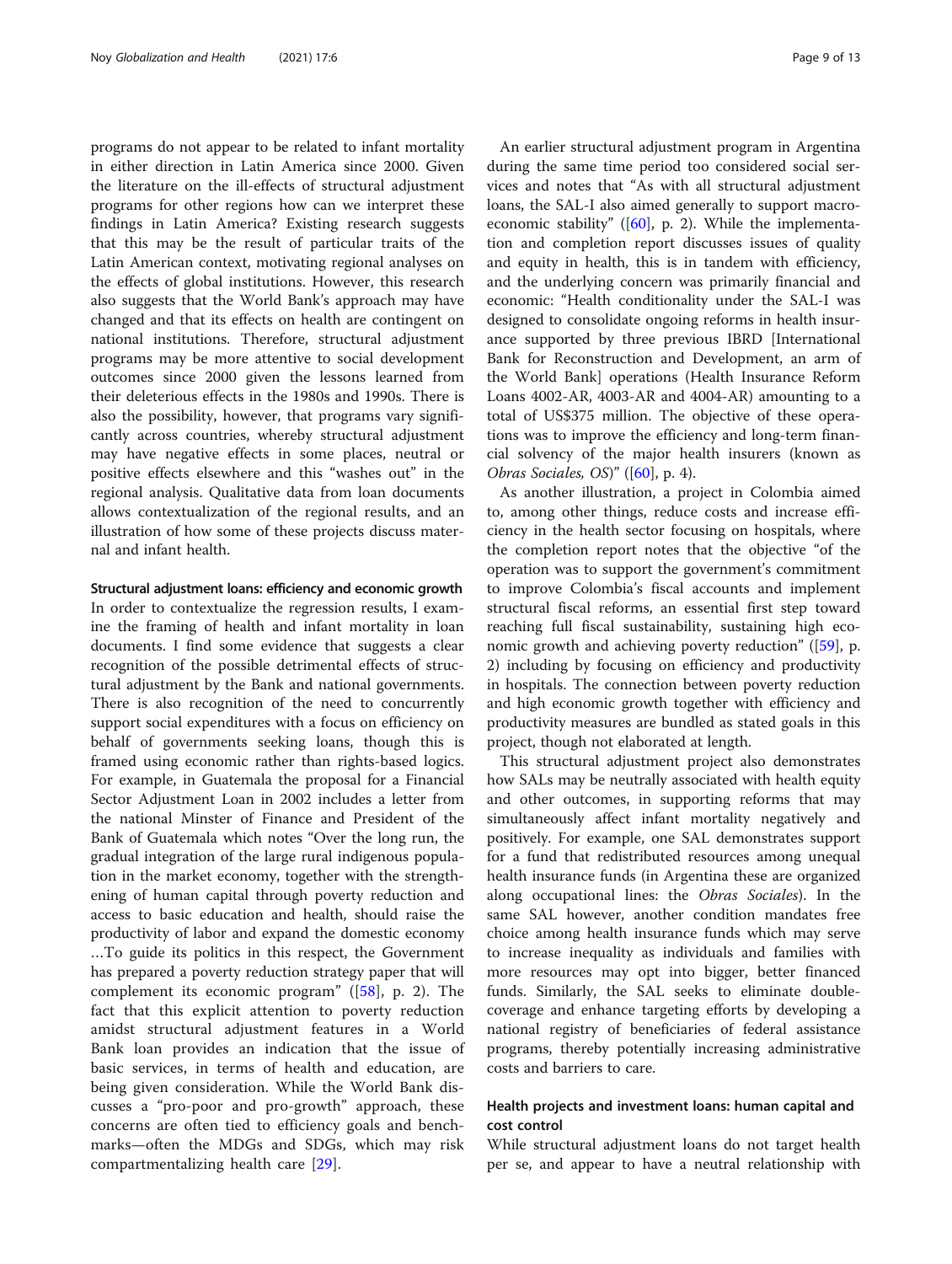programs do not appear to be related to infant mortality in either direction in Latin America since 2000. Given the literature on the ill-effects of structural adjustment programs for other regions how can we interpret these findings in Latin America? Existing research suggests that this may be the result of particular traits of the Latin American context, motivating regional analyses on the effects of global institutions. However, this research also suggests that the World Bank's approach may have changed and that its effects on health are contingent on national institutions. Therefore, structural adjustment programs may be more attentive to social development outcomes since 2000 given the lessons learned from their deleterious effects in the 1980s and 1990s. There is also the possibility, however, that programs vary significantly across countries, whereby structural adjustment may have negative effects in some places, neutral or positive effects elsewhere and this "washes out" in the regional analysis. Qualitative data from loan documents allows contextualization of the regional results, and an illustration of how some of these projects discuss maternal and infant health.

### Structural adjustment loans: efficiency and economic growth

In order to contextualize the regression results, I examine the framing of health and infant mortality in loan documents. I find some evidence that suggests a clear recognition of the possible detrimental effects of structural adjustment by the Bank and national governments. There is also recognition of the need to concurrently support social expenditures with a focus on efficiency on behalf of governments seeking loans, though this is framed using economic rather than rights-based logics. For example, in Guatemala the proposal for a Financial Sector Adjustment Loan in 2002 includes a letter from the national Minster of Finance and President of the Bank of Guatemala which notes "Over the long run, the gradual integration of the large rural indigenous population in the market economy, together with the strengthening of human capital through poverty reduction and access to basic education and health, should raise the productivity of labor and expand the domestic economy …To guide its politics in this respect, the Government has prepared a poverty reduction strategy paper that will complement its economic program" ([[58](#page-12-0)], p. 2). The fact that this explicit attention to poverty reduction amidst structural adjustment features in a World Bank loan provides an indication that the issue of basic services, in terms of health and education, are being given consideration. While the World Bank discusses a "pro-poor and pro-growth" approach, these concerns are often tied to efficiency goals and benchmarks—often the MDGs and SDGs, which may risk compartmentalizing health care [\[29](#page-11-0)].

An earlier structural adjustment program in Argentina during the same time period too considered social services and notes that "As with all structural adjustment loans, the SAL-I also aimed generally to support macroeconomic stability" ([[60](#page-12-0)], p. 2). While the implementation and completion report discusses issues of quality and equity in health, this is in tandem with efficiency, and the underlying concern was primarily financial and economic: "Health conditionality under the SAL-I was designed to consolidate ongoing reforms in health insurance supported by three previous IBRD [International Bank for Reconstruction and Development, an arm of the World Bank] operations (Health Insurance Reform Loans 4002-AR, 4003-AR and 4004-AR) amounting to a total of US\$375 million. The objective of these operations was to improve the efficiency and long-term financial solvency of the major health insurers (known as Obras Sociales, OS)"  $([60], p. 4)$  $([60], p. 4)$  $([60], p. 4)$ .

As another illustration, a project in Colombia aimed to, among other things, reduce costs and increase efficiency in the health sector focusing on hospitals, where the completion report notes that the objective "of the operation was to support the government's commitment to improve Colombia's fiscal accounts and implement structural fiscal reforms, an essential first step toward reaching full fiscal sustainability, sustaining high economic growth and achieving poverty reduction" ([[59](#page-12-0)], p. 2) including by focusing on efficiency and productivity in hospitals. The connection between poverty reduction and high economic growth together with efficiency and productivity measures are bundled as stated goals in this project, though not elaborated at length.

This structural adjustment project also demonstrates how SALs may be neutrally associated with health equity and other outcomes, in supporting reforms that may simultaneously affect infant mortality negatively and positively. For example, one SAL demonstrates support for a fund that redistributed resources among unequal health insurance funds (in Argentina these are organized along occupational lines: the Obras Sociales). In the same SAL however, another condition mandates free choice among health insurance funds which may serve to increase inequality as individuals and families with more resources may opt into bigger, better financed funds. Similarly, the SAL seeks to eliminate doublecoverage and enhance targeting efforts by developing a national registry of beneficiaries of federal assistance programs, thereby potentially increasing administrative costs and barriers to care.

## Health projects and investment loans: human capital and cost control

While structural adjustment loans do not target health per se, and appear to have a neutral relationship with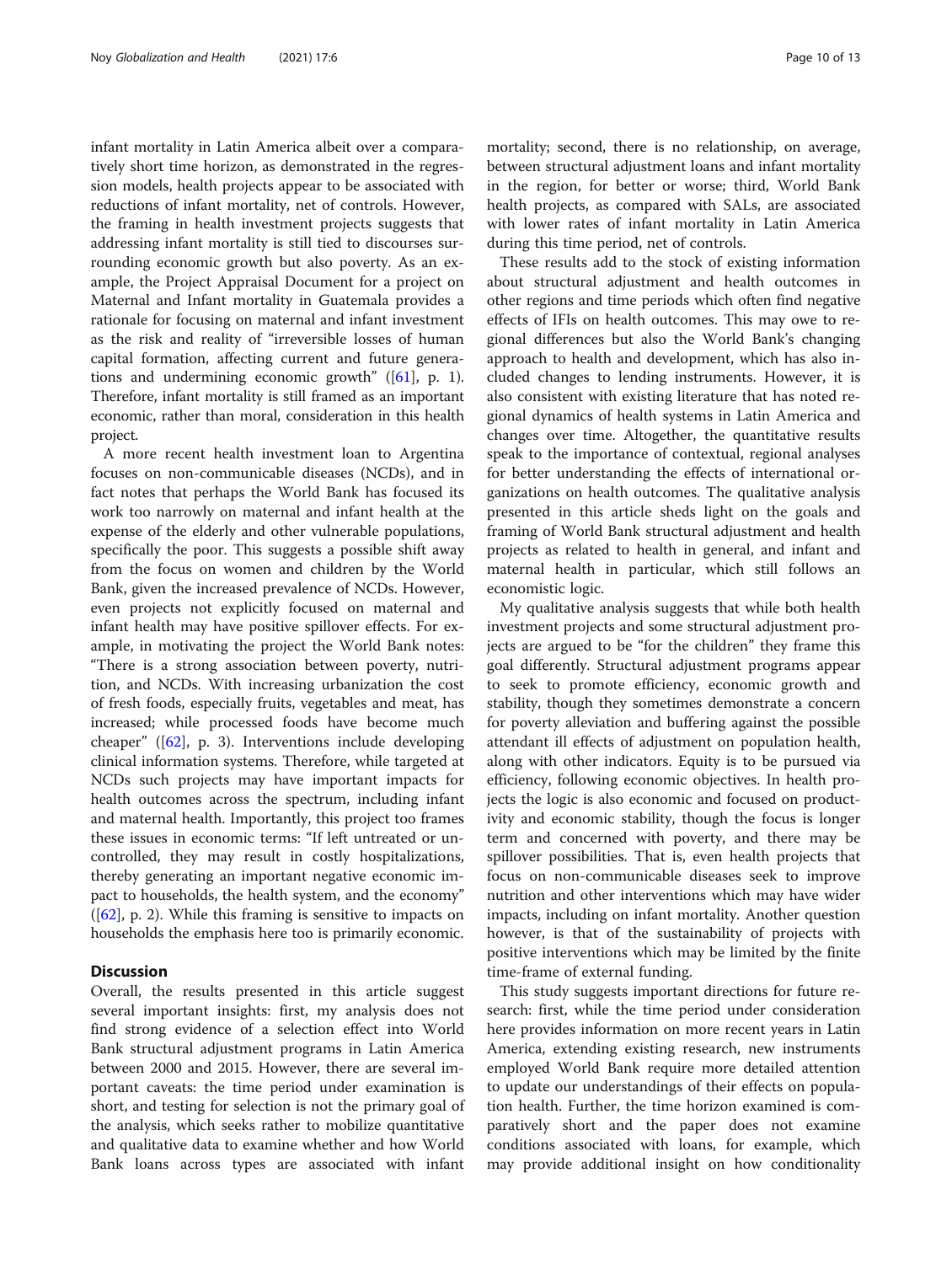infant mortality in Latin America albeit over a comparatively short time horizon, as demonstrated in the regression models, health projects appear to be associated with reductions of infant mortality, net of controls. However, the framing in health investment projects suggests that addressing infant mortality is still tied to discourses surrounding economic growth but also poverty. As an example, the Project Appraisal Document for a project on Maternal and Infant mortality in Guatemala provides a rationale for focusing on maternal and infant investment as the risk and reality of "irreversible losses of human capital formation, affecting current and future generations and undermining economic growth" ([\[61](#page-12-0)], p. 1). Therefore, infant mortality is still framed as an important economic, rather than moral, consideration in this health project.

A more recent health investment loan to Argentina focuses on non-communicable diseases (NCDs), and in fact notes that perhaps the World Bank has focused its work too narrowly on maternal and infant health at the expense of the elderly and other vulnerable populations, specifically the poor. This suggests a possible shift away from the focus on women and children by the World Bank, given the increased prevalence of NCDs. However, even projects not explicitly focused on maternal and infant health may have positive spillover effects. For example, in motivating the project the World Bank notes: "There is a strong association between poverty, nutrition, and NCDs. With increasing urbanization the cost of fresh foods, especially fruits, vegetables and meat, has increased; while processed foods have become much cheaper" ([[62](#page-12-0)], p. 3). Interventions include developing clinical information systems. Therefore, while targeted at NCDs such projects may have important impacts for health outcomes across the spectrum, including infant and maternal health. Importantly, this project too frames these issues in economic terms: "If left untreated or uncontrolled, they may result in costly hospitalizations, thereby generating an important negative economic impact to households, the health system, and the economy"  $([62], p. 2)$  $([62], p. 2)$  $([62], p. 2)$ . While this framing is sensitive to impacts on households the emphasis here too is primarily economic.

### **Discussion**

Overall, the results presented in this article suggest several important insights: first, my analysis does not find strong evidence of a selection effect into World Bank structural adjustment programs in Latin America between 2000 and 2015. However, there are several important caveats: the time period under examination is short, and testing for selection is not the primary goal of the analysis, which seeks rather to mobilize quantitative and qualitative data to examine whether and how World Bank loans across types are associated with infant

mortality; second, there is no relationship, on average, between structural adjustment loans and infant mortality in the region, for better or worse; third, World Bank health projects, as compared with SALs, are associated with lower rates of infant mortality in Latin America during this time period, net of controls.

These results add to the stock of existing information about structural adjustment and health outcomes in other regions and time periods which often find negative effects of IFIs on health outcomes. This may owe to regional differences but also the World Bank's changing approach to health and development, which has also included changes to lending instruments. However, it is also consistent with existing literature that has noted regional dynamics of health systems in Latin America and changes over time. Altogether, the quantitative results speak to the importance of contextual, regional analyses for better understanding the effects of international organizations on health outcomes. The qualitative analysis presented in this article sheds light on the goals and framing of World Bank structural adjustment and health projects as related to health in general, and infant and maternal health in particular, which still follows an economistic logic.

My qualitative analysis suggests that while both health investment projects and some structural adjustment projects are argued to be "for the children" they frame this goal differently. Structural adjustment programs appear to seek to promote efficiency, economic growth and stability, though they sometimes demonstrate a concern for poverty alleviation and buffering against the possible attendant ill effects of adjustment on population health, along with other indicators. Equity is to be pursued via efficiency, following economic objectives. In health projects the logic is also economic and focused on productivity and economic stability, though the focus is longer term and concerned with poverty, and there may be spillover possibilities. That is, even health projects that focus on non-communicable diseases seek to improve nutrition and other interventions which may have wider impacts, including on infant mortality. Another question however, is that of the sustainability of projects with positive interventions which may be limited by the finite time-frame of external funding.

This study suggests important directions for future research: first, while the time period under consideration here provides information on more recent years in Latin America, extending existing research, new instruments employed World Bank require more detailed attention to update our understandings of their effects on population health. Further, the time horizon examined is comparatively short and the paper does not examine conditions associated with loans, for example, which may provide additional insight on how conditionality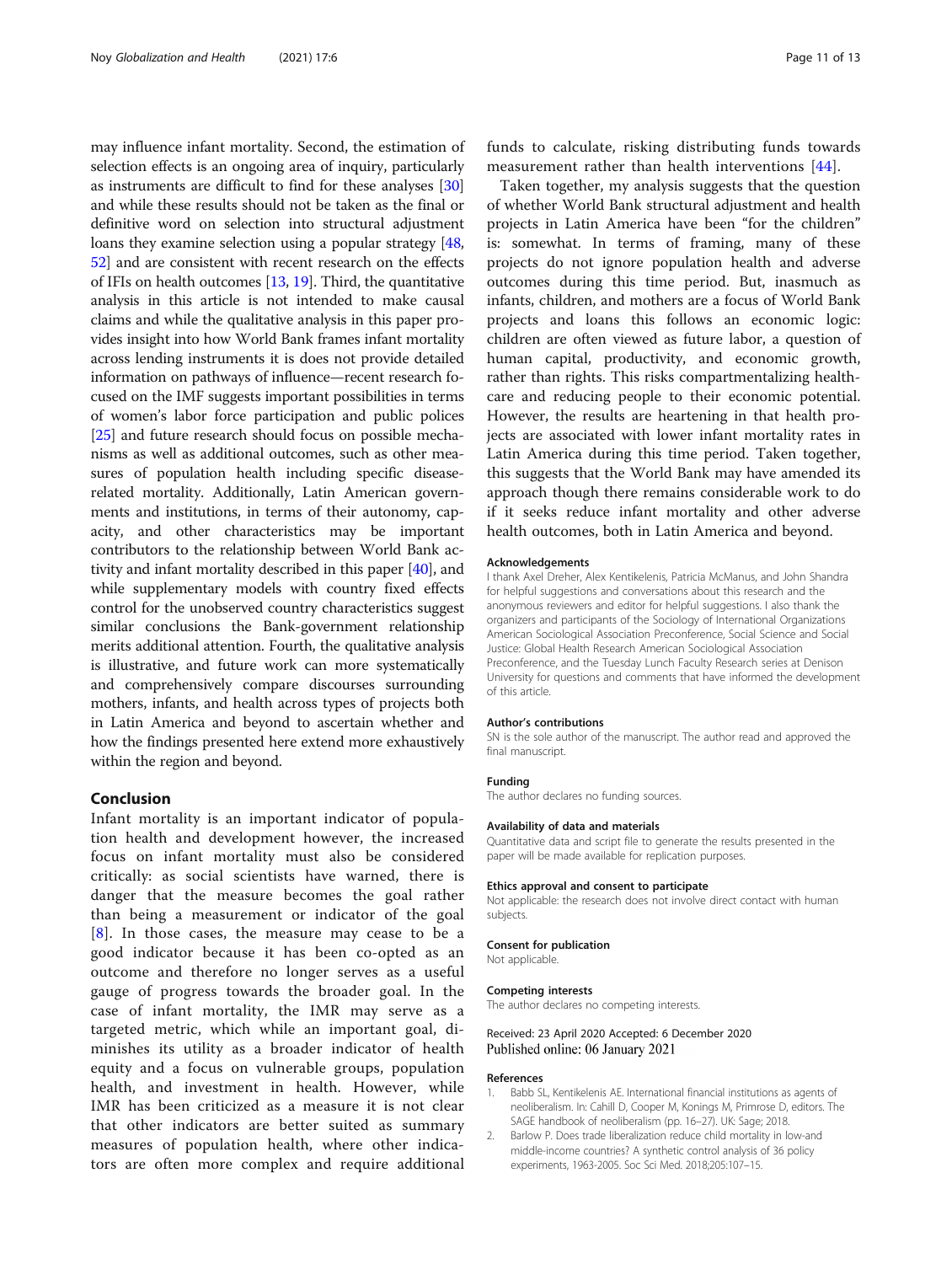<span id="page-10-0"></span>may influence infant mortality. Second, the estimation of selection effects is an ongoing area of inquiry, particularly as instruments are difficult to find for these analyses [[30](#page-11-0)] and while these results should not be taken as the final or definitive word on selection into structural adjustment loans they examine selection using a popular strategy [[48](#page-12-0), [52](#page-12-0)] and are consistent with recent research on the effects of IFIs on health outcomes [\[13,](#page-11-0) [19\]](#page-11-0). Third, the quantitative analysis in this article is not intended to make causal claims and while the qualitative analysis in this paper provides insight into how World Bank frames infant mortality across lending instruments it is does not provide detailed information on pathways of influence—recent research focused on the IMF suggests important possibilities in terms of women's labor force participation and public polices [[25](#page-11-0)] and future research should focus on possible mechanisms as well as additional outcomes, such as other measures of population health including specific diseaserelated mortality. Additionally, Latin American governments and institutions, in terms of their autonomy, capacity, and other characteristics may be important contributors to the relationship between World Bank activity and infant mortality described in this paper [\[40\]](#page-11-0), and while supplementary models with country fixed effects control for the unobserved country characteristics suggest similar conclusions the Bank-government relationship merits additional attention. Fourth, the qualitative analysis is illustrative, and future work can more systematically and comprehensively compare discourses surrounding mothers, infants, and health across types of projects both in Latin America and beyond to ascertain whether and how the findings presented here extend more exhaustively within the region and beyond.

### Conclusion

Infant mortality is an important indicator of population health and development however, the increased focus on infant mortality must also be considered critically: as social scientists have warned, there is danger that the measure becomes the goal rather than being a measurement or indicator of the goal  $[8]$  $[8]$  $[8]$ . In those cases, the measure may cease to be a good indicator because it has been co-opted as an outcome and therefore no longer serves as a useful gauge of progress towards the broader goal. In the case of infant mortality, the IMR may serve as a targeted metric, which while an important goal, diminishes its utility as a broader indicator of health equity and a focus on vulnerable groups, population health, and investment in health. However, while IMR has been criticized as a measure it is not clear that other indicators are better suited as summary measures of population health, where other indicators are often more complex and require additional funds to calculate, risking distributing funds towards measurement rather than health interventions [[44\]](#page-11-0).

Taken together, my analysis suggests that the question of whether World Bank structural adjustment and health projects in Latin America have been "for the children" is: somewhat. In terms of framing, many of these projects do not ignore population health and adverse outcomes during this time period. But, inasmuch as infants, children, and mothers are a focus of World Bank projects and loans this follows an economic logic: children are often viewed as future labor, a question of human capital, productivity, and economic growth, rather than rights. This risks compartmentalizing healthcare and reducing people to their economic potential. However, the results are heartening in that health projects are associated with lower infant mortality rates in Latin America during this time period. Taken together, this suggests that the World Bank may have amended its approach though there remains considerable work to do if it seeks reduce infant mortality and other adverse health outcomes, both in Latin America and beyond.

#### Acknowledgements

I thank Axel Dreher, Alex Kentikelenis, Patricia McManus, and John Shandra for helpful suggestions and conversations about this research and the anonymous reviewers and editor for helpful suggestions. I also thank the organizers and participants of the Sociology of International Organizations American Sociological Association Preconference, Social Science and Social Justice: Global Health Research American Sociological Association Preconference, and the Tuesday Lunch Faculty Research series at Denison University for questions and comments that have informed the development of this article.

#### Author's contributions

SN is the sole author of the manuscript. The author read and approved the final manuscript.

### Funding

The author declares no funding sources.

### Availability of data and materials

Quantitative data and script file to generate the results presented in the paper will be made available for replication purposes.

#### Ethics approval and consent to participate

Not applicable: the research does not involve direct contact with human subjects.

#### Consent for publication

Not applicable.

#### Competing interests

The author declares no competing interests.

### Received: 23 April 2020 Accepted: 6 December 2020 Published online: 06 January 2021

#### References

- 1. Babb SL, Kentikelenis AE. International financial institutions as agents of neoliberalism. In: Cahill D, Cooper M, Konings M, Primrose D, editors. The SAGE handbook of neoliberalism (pp. 16–27). UK: Sage; 2018.
- 2. Barlow P. Does trade liberalization reduce child mortality in low-and middle-income countries? A synthetic control analysis of 36 policy experiments, 1963-2005. Soc Sci Med. 2018;205:107–15.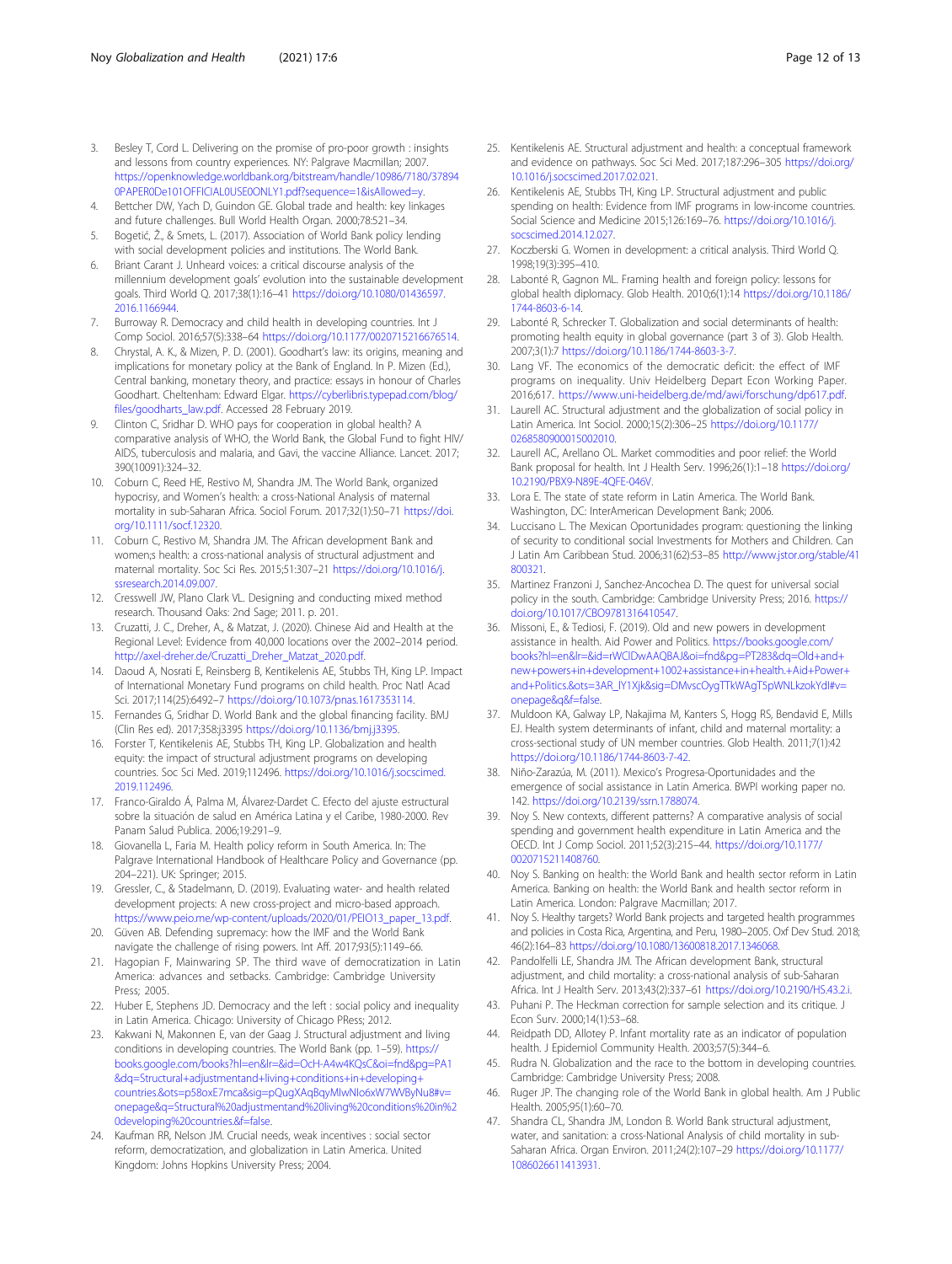- <span id="page-11-0"></span>3. Besley T, Cord L. Delivering on the promise of pro-poor growth : insights and lessons from country experiences. NY: Palgrave Macmillan; 2007. [https://openknowledge.worldbank.org/bitstream/handle/10986/7180/37894](https://openknowledge.worldbank.org/bitstream/handle/10986/7180/378940PAPER0De101OFFICIAL0USE0ONLY1.pdf?sequence=1&isAllowed=y) [0PAPER0De101OFFICIAL0USE0ONLY1.pdf?sequence=1&isAllowed=y.](https://openknowledge.worldbank.org/bitstream/handle/10986/7180/378940PAPER0De101OFFICIAL0USE0ONLY1.pdf?sequence=1&isAllowed=y)
- 4. Bettcher DW, Yach D, Guindon GE. Global trade and health: key linkages and future challenges. Bull World Health Organ. 2000;78:521–34.
- 5. Bogetić, Ž., & Smets, L. (2017). Association of World Bank policy lending with social development policies and institutions. The World Bank.
- 6. Briant Carant J. Unheard voices: a critical discourse analysis of the millennium development goals' evolution into the sustainable development goals. Third World Q. 2017;38(1):16–41 [https://doi.org/10.1080/01436597.](https://doi.org/10.1080/01436597.2016.1166944) [2016.1166944](https://doi.org/10.1080/01436597.2016.1166944).
- 7. Burroway R. Democracy and child health in developing countries. Int J Comp Sociol. 2016;57(5):338–64 <https://doi.org/10.1177/0020715216676514>.
- 8. Chrystal, A. K., & Mizen, P. D. (2001). Goodhart's law: its origins, meaning and implications for monetary policy at the Bank of England. In P. Mizen (Ed.), Central banking, monetary theory, and practice: essays in honour of Charles Goodhart. Cheltenham: Edward Elgar. [https://cyberlibris.typepad.com/blog/](https://cyberlibris.typepad.com/blog/files/goodharts_law.pdf) [files/goodharts\\_law.pdf](https://cyberlibris.typepad.com/blog/files/goodharts_law.pdf). Accessed 28 February 2019.
- 9. Clinton C, Sridhar D. WHO pays for cooperation in global health? A comparative analysis of WHO, the World Bank, the Global Fund to fight HIV/ AIDS, tuberculosis and malaria, and Gavi, the vaccine Alliance. Lancet. 2017; 390(10091):324–32.
- 10. Coburn C, Reed HE, Restivo M, Shandra JM. The World Bank, organized hypocrisy, and Women's health: a cross-National Analysis of maternal mortality in sub-Saharan Africa. Sociol Forum. 2017;32(1):50–71 [https://doi.](https://doi.org/10.1111/socf.12320) [org/10.1111/socf.12320.](https://doi.org/10.1111/socf.12320)
- 11. Coburn C, Restivo M, Shandra JM. The African development Bank and women;s health: a cross-national analysis of structural adjustment and maternal mortality. Soc Sci Res. 2015;51:307–21 [https://doi.org/10.1016/j.](https://doi.org/10.1016/j.ssresearch.2014.09.007) [ssresearch.2014.09.007.](https://doi.org/10.1016/j.ssresearch.2014.09.007)
- 12. Cresswell JW, Plano Clark VL. Designing and conducting mixed method research. Thousand Oaks: 2nd Sage; 2011. p. 201.
- 13. Cruzatti, J. C., Dreher, A., & Matzat, J. (2020). Chinese Aid and Health at the Regional Level: Evidence from 40,000 locations over the 2002–2014 period. [http://axel-dreher.de/Cruzatti\\_Dreher\\_Matzat\\_2020.pdf.](http://axel-dreher.de/Cruzatti_Dreher_Matzat_2020.pdf)
- 14. Daoud A, Nosrati E, Reinsberg B, Kentikelenis AE, Stubbs TH, King LP. Impact of International Monetary Fund programs on child health. Proc Natl Acad Sci. 2017;114(25):6492–7 <https://doi.org/10.1073/pnas.1617353114>.
- 15. Fernandes G, Sridhar D. World Bank and the global financing facility. BMJ (Clin Res ed). 2017;358:j3395 [https://doi.org/10.1136/bmj.j3395.](https://doi.org/10.1136/bmj.j3395)
- 16. Forster T, Kentikelenis AE, Stubbs TH, King LP. Globalization and health equity: the impact of structural adjustment programs on developing countries. Soc Sci Med. 2019;112496. [https://doi.org/10.1016/j.socscimed.](https://doi.org/10.1016/j.socscimed.2019.112496) [2019.112496.](https://doi.org/10.1016/j.socscimed.2019.112496)
- 17. Franco-Giraldo Á, Palma M, Álvarez-Dardet C. Efecto del ajuste estructural sobre la situación de salud en América Latina y el Caribe, 1980-2000. Rev Panam Salud Publica. 2006;19:291–9.
- 18. Giovanella L, Faria M. Health policy reform in South America. In: The Palgrave International Handbook of Healthcare Policy and Governance (pp. 204–221). UK: Springer; 2015.
- 19. Gressler, C., & Stadelmann, D. (2019). Evaluating water- and health related development projects: A new cross-project and micro-based approach. [https://www.peio.me/wp-content/uploads/2020/01/PEIO13\\_paper\\_13.pdf](https://www.peio.me/wp-content/uploads/2020/01/PEIO13_paper_13.pdf).
- 20. Güven AB. Defending supremacy: how the IMF and the World Bank navigate the challenge of rising powers. Int Aff. 2017;93(5):1149–66.
- 21. Hagopian F, Mainwaring SP. The third wave of democratization in Latin America: advances and setbacks. Cambridge: Cambridge University Press; 2005.
- 22. Huber E, Stephens JD. Democracy and the left : social policy and inequality in Latin America. Chicago: University of Chicago PRess; 2012.
- 23. Kakwani N, Makonnen E, van der Gaag J. Structural adjustment and living conditions in developing countries. The World Bank (pp. 1–59). [https://](https://books.google.com/books?hl=en&lr=&id=OcH-A4w4KQsC&oi=fnd&pg=PA1&dq=Structural+adjustmentand+living+conditions+in+developing+countries.&ots=p58oxE7mca&sig=pQugXAqBqyMIwNIo6xW7WVByNu8#v=onepage&q=Structural%20adjustmentand%20living%20conditions%20in%20developing%20countries.&f=false) [books.google.com/books?hl=en&lr=&id=OcH-A4w4KQsC&oi=fnd&pg=PA1](https://books.google.com/books?hl=en&lr=&id=OcH-A4w4KQsC&oi=fnd&pg=PA1&dq=Structural+adjustmentand+living+conditions+in+developing+countries.&ots=p58oxE7mca&sig=pQugXAqBqyMIwNIo6xW7WVByNu8#v=onepage&q=Structural%20adjustmentand%20living%20conditions%20in%20developing%20countries.&f=false) [&dq=Structural+adjustmentand+living+conditions+in+developing+](https://books.google.com/books?hl=en&lr=&id=OcH-A4w4KQsC&oi=fnd&pg=PA1&dq=Structural+adjustmentand+living+conditions+in+developing+countries.&ots=p58oxE7mca&sig=pQugXAqBqyMIwNIo6xW7WVByNu8#v=onepage&q=Structural%20adjustmentand%20living%20conditions%20in%20developing%20countries.&f=false) [countries.&ots=p58oxE7mca&sig=pQugXAqBqyMIwNIo6xW7WVByNu8#v=](https://books.google.com/books?hl=en&lr=&id=OcH-A4w4KQsC&oi=fnd&pg=PA1&dq=Structural+adjustmentand+living+conditions+in+developing+countries.&ots=p58oxE7mca&sig=pQugXAqBqyMIwNIo6xW7WVByNu8#v=onepage&q=Structural%20adjustmentand%20living%20conditions%20in%20developing%20countries.&f=false) [onepage&q=Structural%20adjustmentand%20living%20conditions%20in%2](https://books.google.com/books?hl=en&lr=&id=OcH-A4w4KQsC&oi=fnd&pg=PA1&dq=Structural+adjustmentand+living+conditions+in+developing+countries.&ots=p58oxE7mca&sig=pQugXAqBqyMIwNIo6xW7WVByNu8#v=onepage&q=Structural%20adjustmentand%20living%20conditions%20in%20developing%20countries.&f=false) [0developing%20countries.&f=false](https://books.google.com/books?hl=en&lr=&id=OcH-A4w4KQsC&oi=fnd&pg=PA1&dq=Structural+adjustmentand+living+conditions+in+developing+countries.&ots=p58oxE7mca&sig=pQugXAqBqyMIwNIo6xW7WVByNu8#v=onepage&q=Structural%20adjustmentand%20living%20conditions%20in%20developing%20countries.&f=false).
- 24. Kaufman RR, Nelson JM. Crucial needs, weak incentives : social sector reform, democratization, and globalization in Latin America. United Kingdom: Johns Hopkins University Press; 2004.
- 25. Kentikelenis AE. Structural adjustment and health: a conceptual framework and evidence on pathways. Soc Sci Med. 2017;187:296–305 [https://doi.org/](https://doi.org/10.1016/j.socscimed.2017.02.021) [10.1016/j.socscimed.2017.02.021.](https://doi.org/10.1016/j.socscimed.2017.02.021)
- 26. Kentikelenis AE, Stubbs TH, King LP. Structural adjustment and public spending on health: Evidence from IMF programs in low-income countries. Social Science and Medicine 2015;126:169–76. [https://doi.org/10.1016/j.](https://doi.org/10.1016/j.socscimed.2014.12.027) [socscimed.2014.12.027.](https://doi.org/10.1016/j.socscimed.2014.12.027)
- 27. Koczberski G. Women in development: a critical analysis. Third World Q. 1998;19(3):395–410.
- 28. Labonté R, Gagnon ML. Framing health and foreign policy: lessons for global health diplomacy. Glob Health. 2010;6(1):14 [https://doi.org/10.1186/](https://doi.org/10.1186/1744-8603-6-14) [1744-8603-6-14.](https://doi.org/10.1186/1744-8603-6-14)
- 29. Labonté R, Schrecker T. Globalization and social determinants of health: promoting health equity in global governance (part 3 of 3). Glob Health. 2007;3(1):7 <https://doi.org/10.1186/1744-8603-3-7>.
- 30. Lang VF. The economics of the democratic deficit: the effect of IMF programs on inequality. Univ Heidelberg Depart Econ Working Paper. 2016;617. <https://www.uni-heidelberg.de/md/awi/forschung/dp617.pdf>.
- 31. Laurell AC. Structural adjustment and the globalization of social policy in Latin America. Int Sociol. 2000;15(2):306–25 [https://doi.org/10.1177/](https://doi.org/10.1177/0268580900015002010) [0268580900015002010.](https://doi.org/10.1177/0268580900015002010)
- 32. Laurell AC, Arellano OL. Market commodities and poor relief: the World Bank proposal for health. Int J Health Serv. 1996;26(1):1–18 [https://doi.org/](https://doi.org/10.2190/PBX9-N89E-4QFE-046V) [10.2190/PBX9-N89E-4QFE-046V.](https://doi.org/10.2190/PBX9-N89E-4QFE-046V)
- 33. Lora E. The state of state reform in Latin America. The World Bank. Washington, DC: InterAmerican Development Bank; 2006.
- 34. Luccisano L. The Mexican Oportunidades program: questioning the linking of security to conditional social Investments for Mothers and Children. Can J Latin Am Caribbean Stud. 2006;31(62):53–85 [http://www.jstor.org/stable/41](http://www.jstor.org/stable/41800321) [800321](http://www.jstor.org/stable/41800321).
- 35. Martinez Franzoni J, Sanchez-Ancochea D. The quest for universal social policy in the south. Cambridge: Cambridge University Press; 2016. [https://](https://doi.org/10.1017/CBO9781316410547) [doi.org/10.1017/CBO9781316410547.](https://doi.org/10.1017/CBO9781316410547)
- 36. Missoni, E., & Tediosi, F. (2019). Old and new powers in development assistance in health. Aid Power and Politics. [https://books.google.com/](https://books.google.com/books?hl=en&lr=&id=rWClDwAAQBAJ&oi=fnd&pg=PT283&dq=Old+and+new+powers+in+development+1002+assistance+in+health.+Aid+Power+and+Politics.&ots=3AR_lY1Xjk&sig=DMvscOygTTkWAgT5pWNLkzokYdI#v=onepage&q&f=false) [books?hl=en&lr=&id=rWClDwAAQBAJ&oi=fnd&pg=PT283&dq=Old+and+](https://books.google.com/books?hl=en&lr=&id=rWClDwAAQBAJ&oi=fnd&pg=PT283&dq=Old+and+new+powers+in+development+1002+assistance+in+health.+Aid+Power+and+Politics.&ots=3AR_lY1Xjk&sig=DMvscOygTTkWAgT5pWNLkzokYdI#v=onepage&q&f=false) [new+powers+in+development+1002+assistance+in+health.+Aid+Power+](https://books.google.com/books?hl=en&lr=&id=rWClDwAAQBAJ&oi=fnd&pg=PT283&dq=Old+and+new+powers+in+development+1002+assistance+in+health.+Aid+Power+and+Politics.&ots=3AR_lY1Xjk&sig=DMvscOygTTkWAgT5pWNLkzokYdI#v=onepage&q&f=false) [and+Politics.&ots=3AR\\_lY1Xjk&sig=DMvscOygTTkWAgT5pWNLkzokYdI#v=](https://books.google.com/books?hl=en&lr=&id=rWClDwAAQBAJ&oi=fnd&pg=PT283&dq=Old+and+new+powers+in+development+1002+assistance+in+health.+Aid+Power+and+Politics.&ots=3AR_lY1Xjk&sig=DMvscOygTTkWAgT5pWNLkzokYdI#v=onepage&q&f=false) [onepage&q&f=false](https://books.google.com/books?hl=en&lr=&id=rWClDwAAQBAJ&oi=fnd&pg=PT283&dq=Old+and+new+powers+in+development+1002+assistance+in+health.+Aid+Power+and+Politics.&ots=3AR_lY1Xjk&sig=DMvscOygTTkWAgT5pWNLkzokYdI#v=onepage&q&f=false).
- 37. Muldoon KA, Galway LP, Nakajima M, Kanters S, Hogg RS, Bendavid E, Mills EJ. Health system determinants of infant, child and maternal mortality: a cross-sectional study of UN member countries. Glob Health. 2011;7(1):42 [https://doi.org/10.1186/1744-8603-7-42.](https://doi.org/10.1186/1744-8603-7-42)
- 38. Niño-Zarazúa, M. (2011). Mexico's Progresa-Oportunidades and the emergence of social assistance in Latin America. BWPI working paper no. 142. [https://doi.org/10.2139/ssrn.1788074.](https://doi.org/10.2139/ssrn.1788074)
- 39. Noy S. New contexts, different patterns? A comparative analysis of social spending and government health expenditure in Latin America and the OECD. Int J Comp Sociol. 2011;52(3):215–44. [https://doi.org/10.1177/](https://doi.org/10.1177/0020715211408760) [0020715211408760](https://doi.org/10.1177/0020715211408760).
- 40. Noy S. Banking on health: the World Bank and health sector reform in Latin America. Banking on health: the World Bank and health sector reform in Latin America. London: Palgrave Macmillan; 2017.
- 41. Noy S. Healthy targets? World Bank projects and targeted health programmes and policies in Costa Rica, Argentina, and Peru, 1980–2005. Oxf Dev Stud. 2018; 46(2):164–83 [https://doi.org/10.1080/13600818.2017.1346068.](https://doi.org/10.1080/13600818.2017.1346068)
- 42. Pandolfelli LE, Shandra JM. The African development Bank, structural adjustment, and child mortality: a cross-national analysis of sub-Saharan Africa. Int J Health Serv. 2013;43(2):337–61 [https://doi.org/10.2190/HS.43.2.i.](https://doi.org/10.2190/HS.43.2.i)
- 43. Puhani P. The Heckman correction for sample selection and its critique. J Econ Surv. 2000;14(1):53–68.
- 44. Reidpath DD, Allotey P. Infant mortality rate as an indicator of population health. J Epidemiol Community Health. 2003;57(5):344–6.
- 45. Rudra N. Globalization and the race to the bottom in developing countries. Cambridge: Cambridge University Press; 2008.
- 46. Ruger JP. The changing role of the World Bank in global health. Am J Public Health. 2005;95(1):60–70.
- 47. Shandra CL, Shandra JM, London B. World Bank structural adjustment, water, and sanitation: a cross-National Analysis of child mortality in sub-Saharan Africa. Organ Environ. 2011;24(2):107–29 [https://doi.org/10.1177/](https://doi.org/10.1177/1086026611413931) [1086026611413931](https://doi.org/10.1177/1086026611413931).